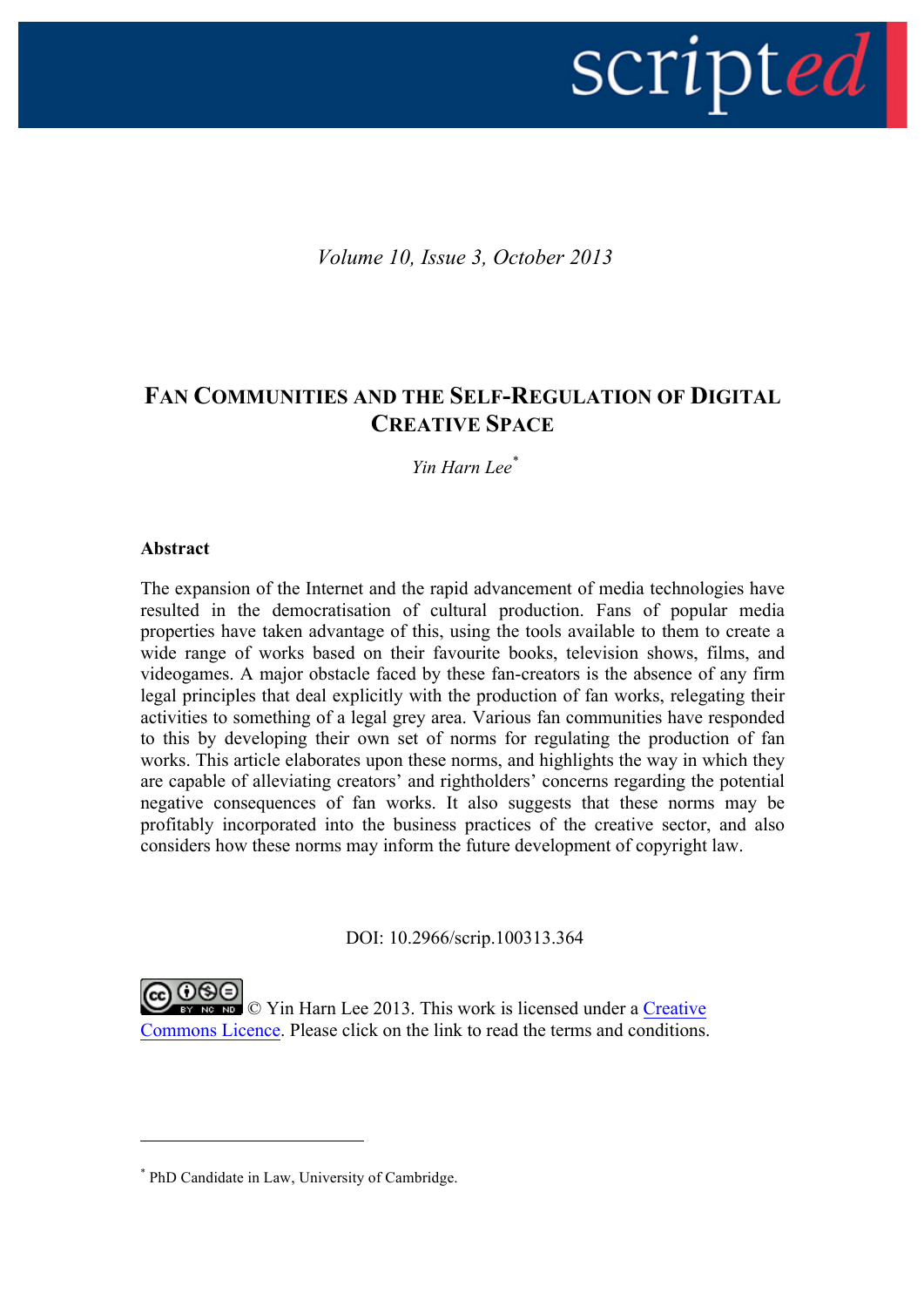

*Volume 10, Issue 3, October 2013*

# **FAN COMMUNITIES AND THE SELF-REGULATION OF DIGITAL CREATIVE SPACE**

*Yin Harn Lee\**

#### **Abstract**

 $\overline{a}$ 

The expansion of the Internet and the rapid advancement of media technologies have resulted in the democratisation of cultural production. Fans of popular media properties have taken advantage of this, using the tools available to them to create a wide range of works based on their favourite books, television shows, films, and videogames. A major obstacle faced by these fan-creators is the absence of any firm legal principles that deal explicitly with the production of fan works, relegating their activities to something of a legal grey area. Various fan communities have responded to this by developing their own set of norms for regulating the production of fan works. This article elaborates upon these norms, and highlights the way in which they are capable of alleviating creators' and rightholders' concerns regarding the potential negative consequences of fan works. It also suggests that these norms may be profitably incorporated into the business practices of the creative sector, and also considers how these norms may inform the future development of copyright law.

DOI: 10.2966/scrip.100313.364

EV NO NO Vin Harn Lee 2013. This work is licensed under a Creative Commons Licence. Please click on the link to read the terms and conditions.

<sup>\*</sup> PhD Candidate in Law, University of Cambridge.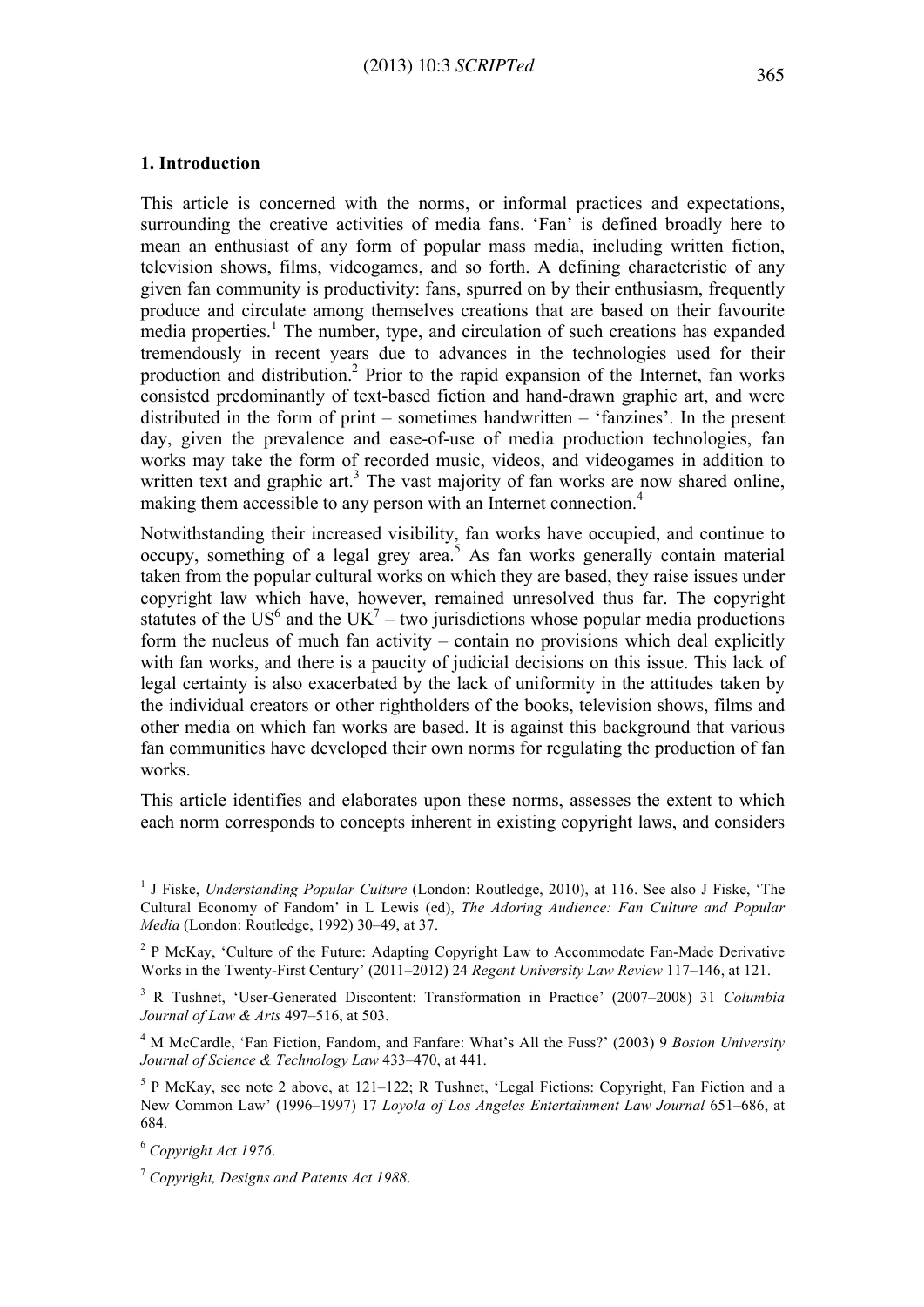#### **1. Introduction**

This article is concerned with the norms, or informal practices and expectations, surrounding the creative activities of media fans. 'Fan' is defined broadly here to mean an enthusiast of any form of popular mass media, including written fiction, television shows, films, videogames, and so forth. A defining characteristic of any given fan community is productivity: fans, spurred on by their enthusiasm, frequently produce and circulate among themselves creations that are based on their favourite media properties.<sup>1</sup> The number, type, and circulation of such creations has expanded tremendously in recent years due to advances in the technologies used for their production and distribution.2 Prior to the rapid expansion of the Internet, fan works consisted predominantly of text-based fiction and hand-drawn graphic art, and were distributed in the form of print – sometimes handwritten – 'fanzines'. In the present day, given the prevalence and ease-of-use of media production technologies, fan works may take the form of recorded music, videos, and videogames in addition to written text and graphic art.<sup>3</sup> The vast majority of fan works are now shared online, making them accessible to any person with an Internet connection.<sup>4</sup>

Notwithstanding their increased visibility, fan works have occupied, and continue to occupy, something of a legal grey area.<sup>5</sup> As fan works generally contain material taken from the popular cultural works on which they are based, they raise issues under copyright law which have, however, remained unresolved thus far. The copyright statutes of the  $US^6$  and the  $UK^7$  – two jurisdictions whose popular media productions form the nucleus of much fan activity – contain no provisions which deal explicitly with fan works, and there is a paucity of judicial decisions on this issue. This lack of legal certainty is also exacerbated by the lack of uniformity in the attitudes taken by the individual creators or other rightholders of the books, television shows, films and other media on which fan works are based. It is against this background that various fan communities have developed their own norms for regulating the production of fan works.

This article identifies and elaborates upon these norms, assesses the extent to which each norm corresponds to concepts inherent in existing copyright laws, and considers

<sup>1</sup> J Fiske, *Understanding Popular Culture* (London: Routledge, 2010), at 116. See also J Fiske, 'The Cultural Economy of Fandom' in L Lewis (ed), *The Adoring Audience: Fan Culture and Popular Media* (London: Routledge, 1992) 30–49, at 37.

<sup>&</sup>lt;sup>2</sup> P McKay, 'Culture of the Future: Adapting Copyright Law to Accommodate Fan-Made Derivative Works in the Twenty-First Century' (2011–2012) 24 *Regent University Law Review* 117–146, at 121.

<sup>3</sup> R Tushnet, 'User-Generated Discontent: Transformation in Practice' (2007–2008) 31 *Columbia Journal of Law & Arts* 497–516, at 503.

<sup>4</sup> M McCardle, 'Fan Fiction, Fandom, and Fanfare: What's All the Fuss?' (2003) 9 *Boston University Journal of Science & Technology Law* 433–470, at 441.

<sup>5</sup> P McKay, see note 2 above, at 121–122; R Tushnet, 'Legal Fictions: Copyright, Fan Fiction and a New Common Law' (1996–1997) 17 *Loyola of Los Angeles Entertainment Law Journal* 651–686, at 684.

<sup>6</sup> *Copyright Act 1976*.

<sup>7</sup> *Copyright, Designs and Patents Act 1988*.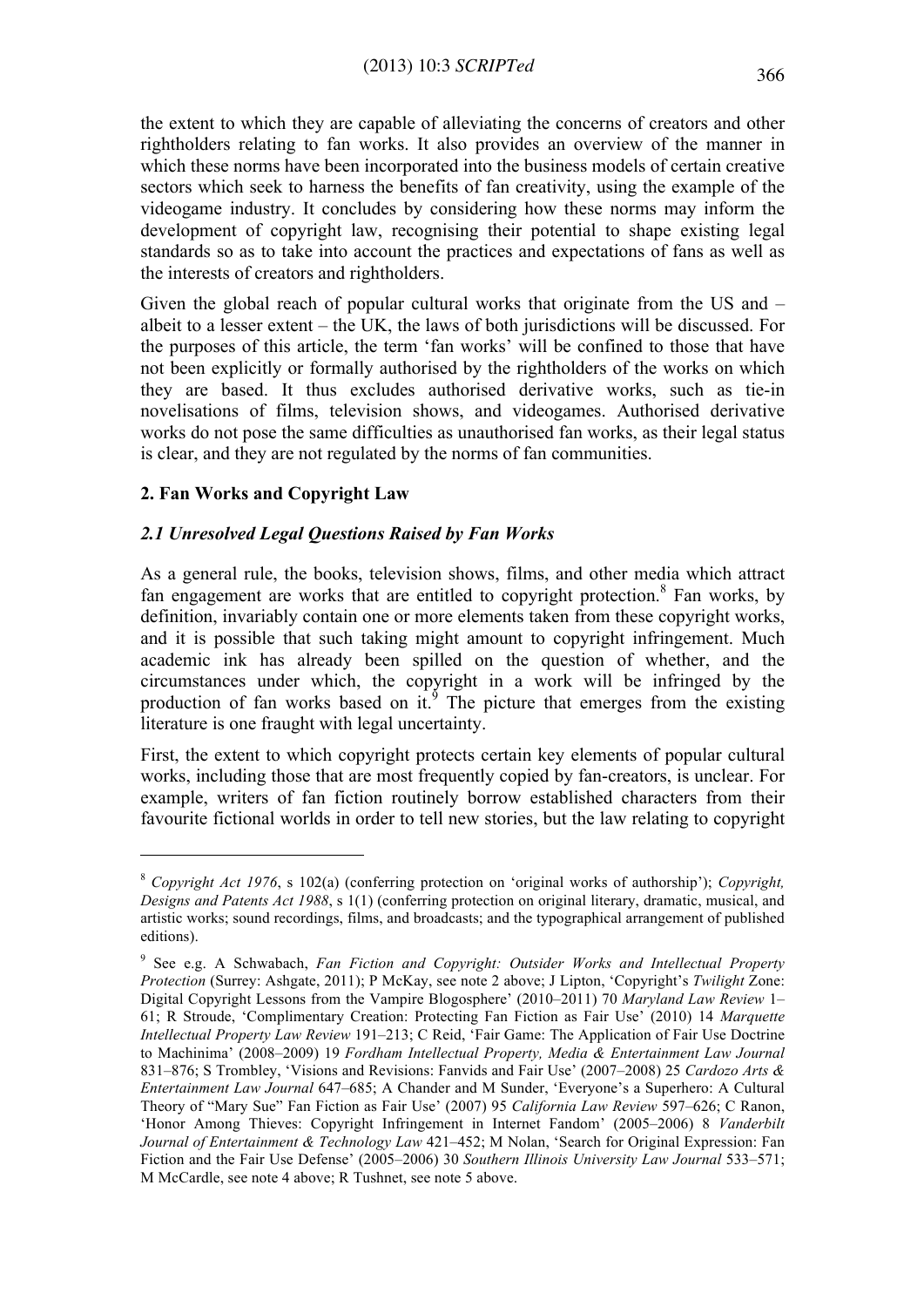the extent to which they are capable of alleviating the concerns of creators and other rightholders relating to fan works. It also provides an overview of the manner in which these norms have been incorporated into the business models of certain creative sectors which seek to harness the benefits of fan creativity, using the example of the videogame industry. It concludes by considering how these norms may inform the development of copyright law, recognising their potential to shape existing legal standards so as to take into account the practices and expectations of fans as well as the interests of creators and rightholders.

Given the global reach of popular cultural works that originate from the US and – albeit to a lesser extent – the UK, the laws of both jurisdictions will be discussed. For the purposes of this article, the term 'fan works' will be confined to those that have not been explicitly or formally authorised by the rightholders of the works on which they are based. It thus excludes authorised derivative works, such as tie-in novelisations of films, television shows, and videogames. Authorised derivative works do not pose the same difficulties as unauthorised fan works, as their legal status is clear, and they are not regulated by the norms of fan communities.

# **2. Fan Works and Copyright Law**

 $\overline{a}$ 

### *2.1 Unresolved Legal Questions Raised by Fan Works*

As a general rule, the books, television shows, films, and other media which attract fan engagement are works that are entitled to copyright protection. <sup>8</sup> Fan works, by definition, invariably contain one or more elements taken from these copyright works, and it is possible that such taking might amount to copyright infringement. Much academic ink has already been spilled on the question of whether, and the circumstances under which, the copyright in a work will be infringed by the production of fan works based on it.<sup>9</sup> The picture that emerges from the existing literature is one fraught with legal uncertainty.

First, the extent to which copyright protects certain key elements of popular cultural works, including those that are most frequently copied by fan-creators, is unclear. For example, writers of fan fiction routinely borrow established characters from their favourite fictional worlds in order to tell new stories, but the law relating to copyright

<sup>8</sup> *Copyright Act 1976*, s 102(a) (conferring protection on 'original works of authorship'); *Copyright, Designs and Patents Act 1988*, s 1(1) (conferring protection on original literary, dramatic, musical, and artistic works; sound recordings, films, and broadcasts; and the typographical arrangement of published editions).

<sup>9</sup> See e.g. A Schwabach, *Fan Fiction and Copyright: Outsider Works and Intellectual Property Protection* (Surrey: Ashgate, 2011); P McKay, see note 2 above; J Lipton, 'Copyright's *Twilight* Zone: Digital Copyright Lessons from the Vampire Blogosphere' (2010–2011) 70 *Maryland Law Review* 1– 61; R Stroude, 'Complimentary Creation: Protecting Fan Fiction as Fair Use' (2010) 14 *Marquette Intellectual Property Law Review* 191–213; C Reid, 'Fair Game: The Application of Fair Use Doctrine to Machinima' (2008–2009) 19 *Fordham Intellectual Property, Media & Entertainment Law Journal* 831–876; S Trombley, 'Visions and Revisions: Fanvids and Fair Use' (2007–2008) 25 *Cardozo Arts & Entertainment Law Journal* 647–685; A Chander and M Sunder, 'Everyone's a Superhero: A Cultural Theory of "Mary Sue" Fan Fiction as Fair Use' (2007) 95 *California Law Review* 597–626; C Ranon, 'Honor Among Thieves: Copyright Infringement in Internet Fandom' (2005–2006) 8 *Vanderbilt Journal of Entertainment & Technology Law* 421–452; M Nolan, 'Search for Original Expression: Fan Fiction and the Fair Use Defense' (2005–2006) 30 *Southern Illinois University Law Journal* 533–571; M McCardle, see note 4 above; R Tushnet, see note 5 above.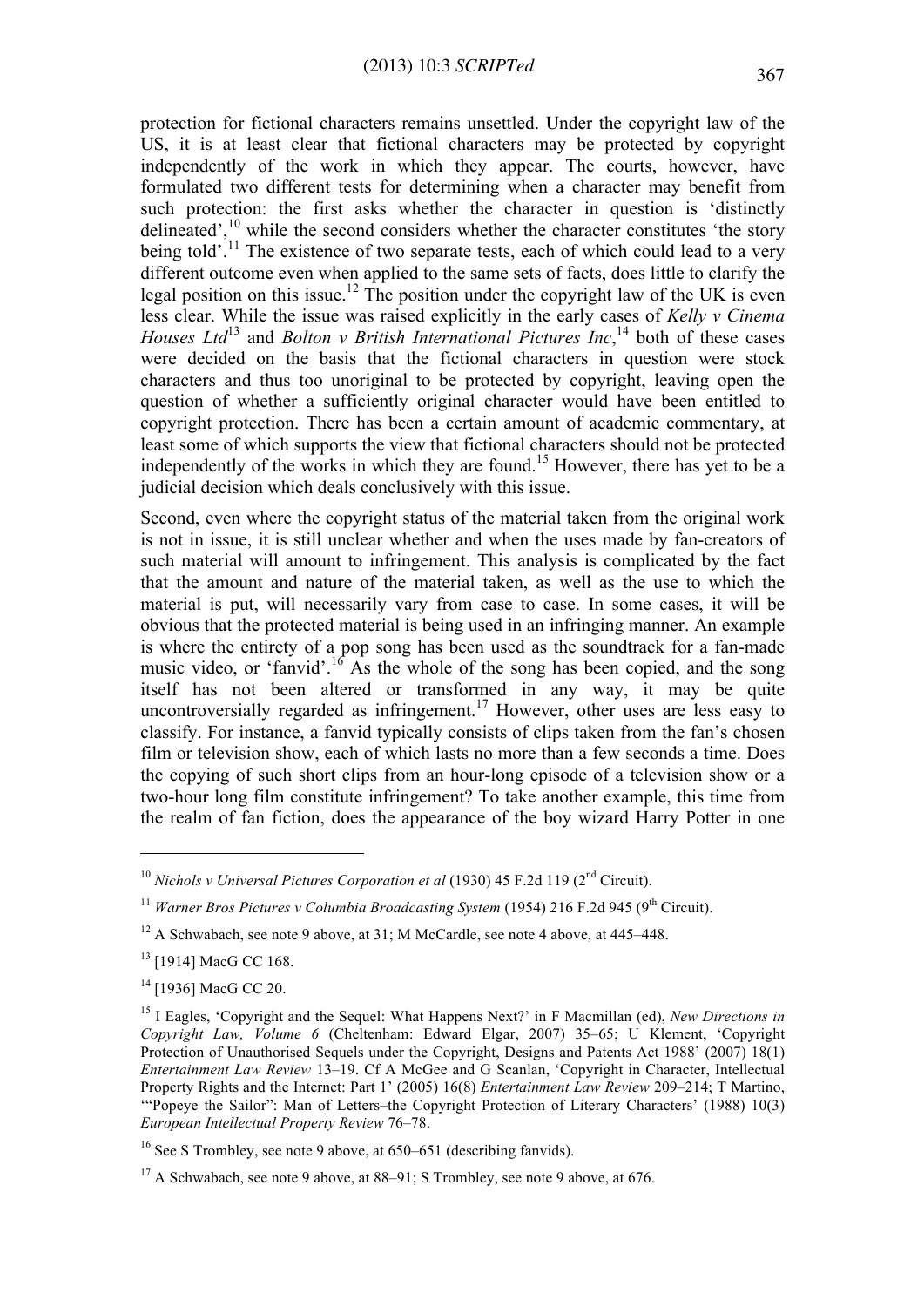protection for fictional characters remains unsettled. Under the copyright law of the US, it is at least clear that fictional characters may be protected by copyright independently of the work in which they appear. The courts, however, have formulated two different tests for determining when a character may benefit from such protection: the first asks whether the character in question is 'distinctly delineated', $^{10}$  while the second considers whether the character constitutes 'the story being told'.<sup>11</sup> The existence of two separate tests, each of which could lead to a very different outcome even when applied to the same sets of facts, does little to clarify the legal position on this issue.<sup>12</sup> The position under the copyright law of the UK is even less clear. While the issue was raised explicitly in the early cases of *Kelly v Cinema Houses Ltd*<sup>13</sup> and *Bolton v British International Pictures Inc*, <sup>14</sup> both of these cases were decided on the basis that the fictional characters in question were stock characters and thus too unoriginal to be protected by copyright, leaving open the question of whether a sufficiently original character would have been entitled to copyright protection. There has been a certain amount of academic commentary, at least some of which supports the view that fictional characters should not be protected independently of the works in which they are found.<sup>15</sup> However, there has yet to be a judicial decision which deals conclusively with this issue.

Second, even where the copyright status of the material taken from the original work is not in issue, it is still unclear whether and when the uses made by fan-creators of such material will amount to infringement. This analysis is complicated by the fact that the amount and nature of the material taken, as well as the use to which the material is put, will necessarily vary from case to case. In some cases, it will be obvious that the protected material is being used in an infringing manner. An example is where the entirety of a pop song has been used as the soundtrack for a fan-made music video, or 'fanvid'.<sup>16</sup> As the whole of the song has been copied, and the song itself has not been altered or transformed in any way, it may be quite uncontroversially regarded as infringement.<sup>17</sup> However, other uses are less easy to classify. For instance, a fanvid typically consists of clips taken from the fan's chosen film or television show, each of which lasts no more than a few seconds a time. Does the copying of such short clips from an hour-long episode of a television show or a two-hour long film constitute infringement? To take another example, this time from the realm of fan fiction, does the appearance of the boy wizard Harry Potter in one

 $\overline{a}$ 

<sup>14</sup> [1936] MacG CC 20.

<sup>&</sup>lt;sup>10</sup> *Nichols v Universal Pictures Corporation et al* (1930) 45 F.2d 119 (2<sup>nd</sup> Circuit).

<sup>&</sup>lt;sup>11</sup> *Warner Bros Pictures v Columbia Broadcasting System* (1954) 216 F.2d 945 (9<sup>th</sup> Circuit).

 $12$  A Schwabach, see note 9 above, at 31; M McCardle, see note 4 above, at 445–448.

<sup>&</sup>lt;sup>13</sup> [1914] MacG CC 168.

<sup>&</sup>lt;sup>15</sup> I Eagles, 'Copyright and the Sequel: What Happens Next?' in F Macmillan (ed), *New Directions in Copyright Law, Volume 6* (Cheltenham: Edward Elgar, 2007) 35–65; U Klement, 'Copyright Protection of Unauthorised Sequels under the Copyright, Designs and Patents Act 1988' (2007) 18(1) *Entertainment Law Review* 13–19. Cf A McGee and G Scanlan, 'Copyright in Character, Intellectual Property Rights and the Internet: Part 1' (2005) 16(8) *Entertainment Law Review* 209–214; T Martino, '"Popeye the Sailor": Man of Letters–the Copyright Protection of Literary Characters' (1988) 10(3) *European Intellectual Property Review* 76–78.

<sup>&</sup>lt;sup>16</sup> See S Trombley, see note 9 above, at  $650-651$  (describing fanvids).

<sup>&</sup>lt;sup>17</sup> A Schwabach, see note 9 above, at  $88-91$ ; S Trombley, see note 9 above, at  $676$ .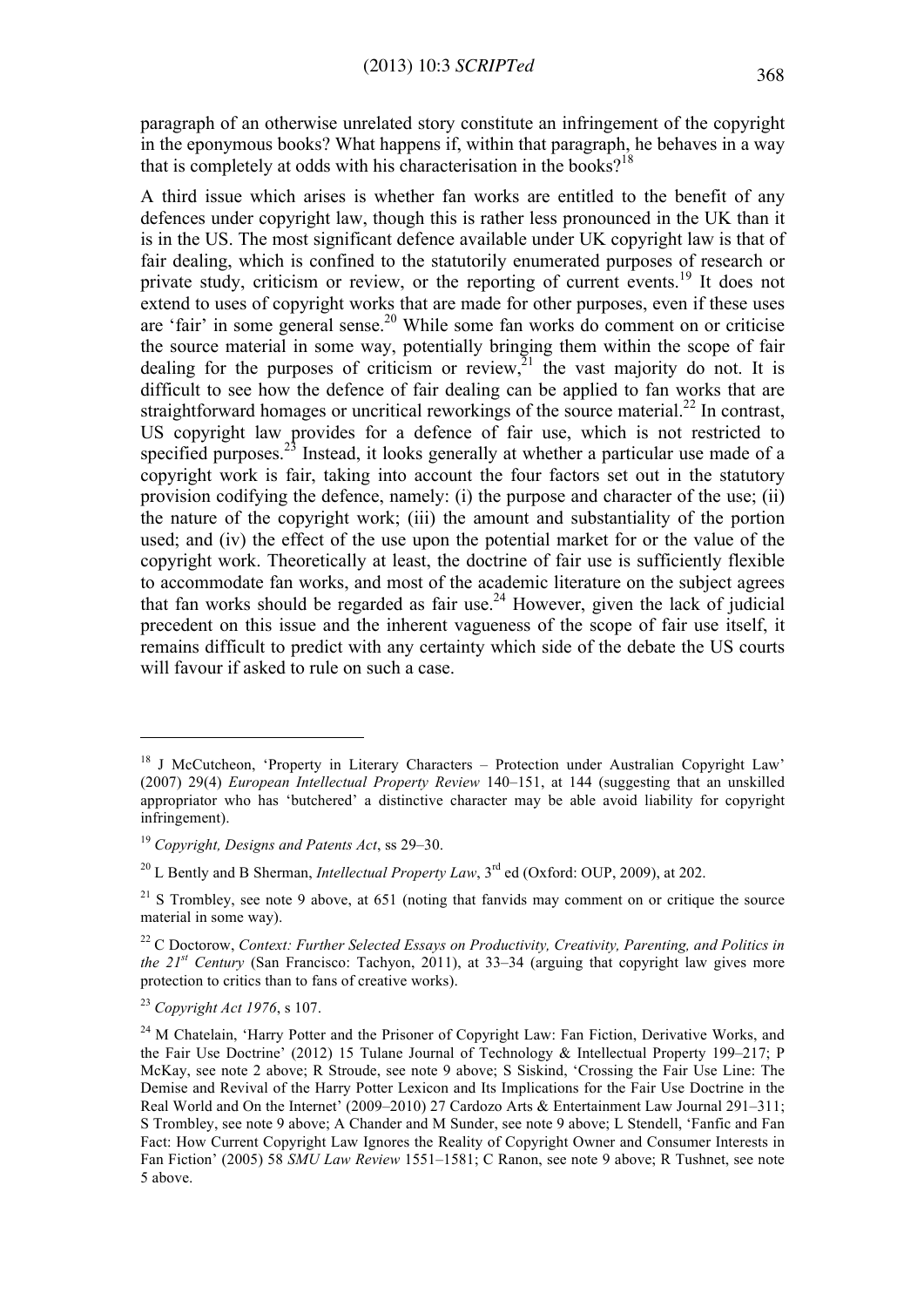paragraph of an otherwise unrelated story constitute an infringement of the copyright in the eponymous books? What happens if, within that paragraph, he behaves in a way that is completely at odds with his characterisation in the books?<sup>18</sup>

A third issue which arises is whether fan works are entitled to the benefit of any defences under copyright law, though this is rather less pronounced in the UK than it is in the US. The most significant defence available under UK copyright law is that of fair dealing, which is confined to the statutorily enumerated purposes of research or private study, criticism or review, or the reporting of current events.<sup>19</sup> It does not extend to uses of copyright works that are made for other purposes, even if these uses are 'fair' in some general sense.20 While some fan works do comment on or criticise the source material in some way, potentially bringing them within the scope of fair dealing for the purposes of criticism or review.<sup>21</sup> the vast majority do not. It is difficult to see how the defence of fair dealing can be applied to fan works that are straightforward homages or uncritical reworkings of the source material.<sup>22</sup> In contrast, US copyright law provides for a defence of fair use, which is not restricted to specified purposes.<sup>23</sup> Instead, it looks generally at whether a particular use made of a copyright work is fair, taking into account the four factors set out in the statutory provision codifying the defence, namely: (i) the purpose and character of the use; (ii) the nature of the copyright work; (iii) the amount and substantiality of the portion used; and (iv) the effect of the use upon the potential market for or the value of the copyright work. Theoretically at least, the doctrine of fair use is sufficiently flexible to accommodate fan works, and most of the academic literature on the subject agrees that fan works should be regarded as fair use. $24$  However, given the lack of judicial precedent on this issue and the inherent vagueness of the scope of fair use itself, it remains difficult to predict with any certainty which side of the debate the US courts will favour if asked to rule on such a case.

<sup>&</sup>lt;sup>18</sup> J McCutcheon, 'Property in Literary Characters – Protection under Australian Copyright Law' (2007) 29(4) *European Intellectual Property Review* 140–151, at 144 (suggesting that an unskilled appropriator who has 'butchered' a distinctive character may be able avoid liability for copyright infringement).

<sup>19</sup> *Copyright, Designs and Patents Act*, ss 29–30.

<sup>&</sup>lt;sup>20</sup> L Bently and B Sherman, *Intellectual Property Law*,  $3<sup>rd</sup>$  ed (Oxford: OUP, 2009), at 202.

 $21$  S Trombley, see note 9 above, at 651 (noting that fanvids may comment on or critique the source material in some way).

<sup>22</sup> C Doctorow, *Context: Further Selected Essays on Productivity, Creativity, Parenting, and Politics in the 21st Century* (San Francisco: Tachyon, 2011), at 33–34 (arguing that copyright law gives more protection to critics than to fans of creative works).

<sup>23</sup> *Copyright Act 1976*, s 107.

<sup>&</sup>lt;sup>24</sup> M Chatelain, 'Harry Potter and the Prisoner of Copyright Law: Fan Fiction, Derivative Works, and the Fair Use Doctrine' (2012) 15 Tulane Journal of Technology & Intellectual Property 199–217; P McKay, see note 2 above; R Stroude, see note 9 above; S Siskind, 'Crossing the Fair Use Line: The Demise and Revival of the Harry Potter Lexicon and Its Implications for the Fair Use Doctrine in the Real World and On the Internet' (2009–2010) 27 Cardozo Arts & Entertainment Law Journal 291–311; S Trombley, see note 9 above; A Chander and M Sunder, see note 9 above; L Stendell, 'Fanfic and Fan Fact: How Current Copyright Law Ignores the Reality of Copyright Owner and Consumer Interests in Fan Fiction' (2005) 58 *SMU Law Review* 1551–1581; C Ranon, see note 9 above; R Tushnet, see note 5 above.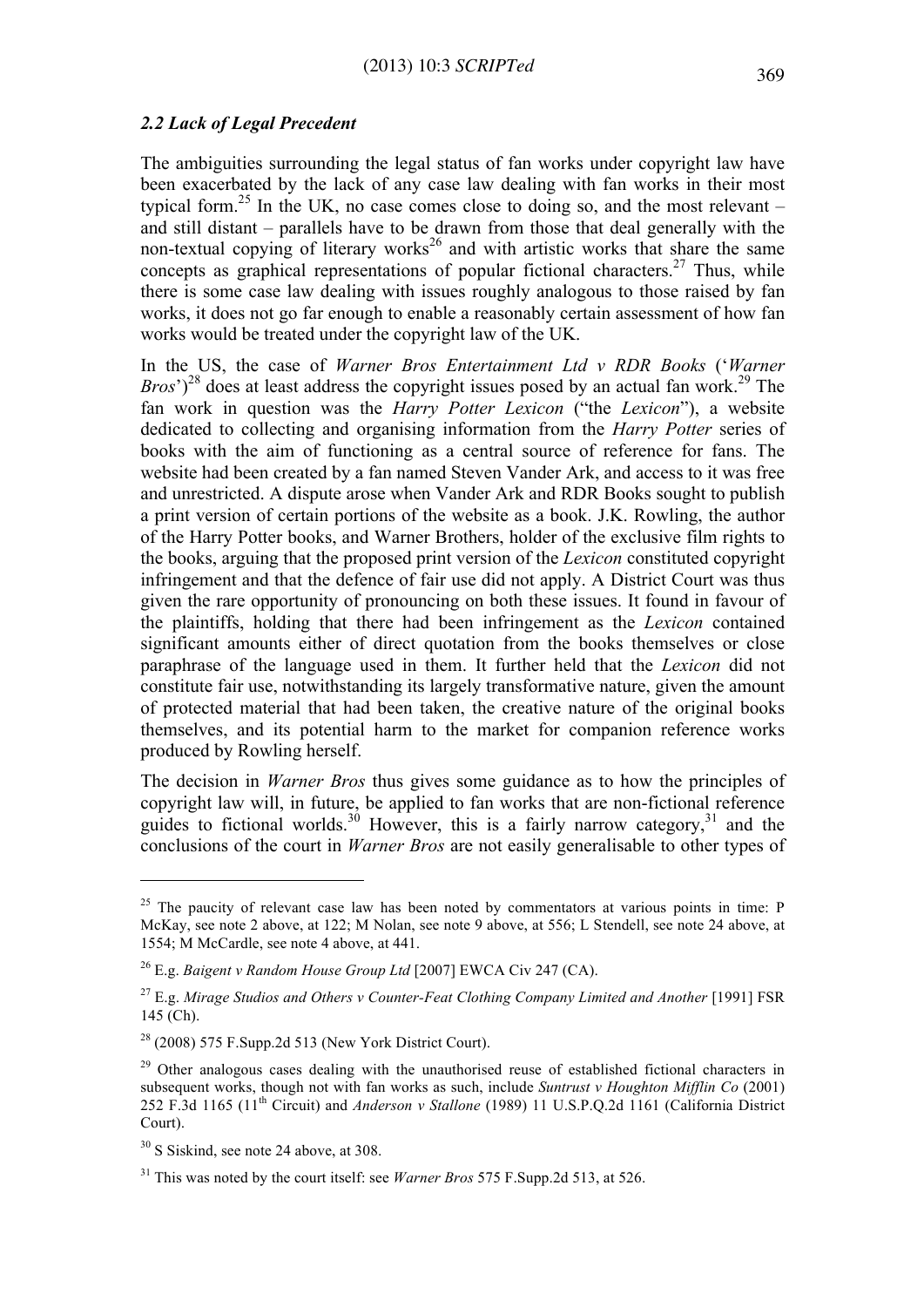#### *2.2 Lack of Legal Precedent*

The ambiguities surrounding the legal status of fan works under copyright law have been exacerbated by the lack of any case law dealing with fan works in their most typical form.<sup>25</sup> In the UK, no case comes close to doing so, and the most relevant  $$ and still distant – parallels have to be drawn from those that deal generally with the non-textual copying of literary works<sup>26</sup> and with artistic works that share the same concepts as graphical representations of popular fictional characters.<sup>27</sup> Thus, while there is some case law dealing with issues roughly analogous to those raised by fan works, it does not go far enough to enable a reasonably certain assessment of how fan works would be treated under the copyright law of the UK.

In the US, the case of *Warner Bros Entertainment Ltd v RDR Books* ('*Warner Bros*<sup> $\frac{2^8}{3}$ </sup> does at least address the copyright issues posed by an actual fan work.<sup>29</sup> The fan work in question was the *Harry Potter Lexicon* ("the *Lexicon*"), a website dedicated to collecting and organising information from the *Harry Potter* series of books with the aim of functioning as a central source of reference for fans. The website had been created by a fan named Steven Vander Ark, and access to it was free and unrestricted. A dispute arose when Vander Ark and RDR Books sought to publish a print version of certain portions of the website as a book. J.K. Rowling, the author of the Harry Potter books, and Warner Brothers, holder of the exclusive film rights to the books, arguing that the proposed print version of the *Lexicon* constituted copyright infringement and that the defence of fair use did not apply. A District Court was thus given the rare opportunity of pronouncing on both these issues. It found in favour of the plaintiffs, holding that there had been infringement as the *Lexicon* contained significant amounts either of direct quotation from the books themselves or close paraphrase of the language used in them. It further held that the *Lexicon* did not constitute fair use, notwithstanding its largely transformative nature, given the amount of protected material that had been taken, the creative nature of the original books themselves, and its potential harm to the market for companion reference works produced by Rowling herself.

The decision in *Warner Bros* thus gives some guidance as to how the principles of copyright law will, in future, be applied to fan works that are non-fictional reference guides to fictional worlds.<sup>30</sup> However, this is a fairly narrow category,<sup>31</sup> and the conclusions of the court in *Warner Bros* are not easily generalisable to other types of

 $25$  The paucity of relevant case law has been noted by commentators at various points in time: P McKay, see note 2 above, at 122; M Nolan, see note 9 above, at 556; L Stendell, see note 24 above, at 1554; M McCardle, see note 4 above, at 441.

<sup>26</sup> E.g. *Baigent v Random House Group Ltd* [2007] EWCA Civ 247 (CA).

<sup>&</sup>lt;sup>27</sup> E.g. *Mirage Studios and Others v Counter-Feat Clothing Company Limited and Another* [1991] FSR 145 (Ch).

 $28$  (2008) 575 F.Supp.2d 513 (New York District Court).

 $29$  Other analogous cases dealing with the unauthorised reuse of established fictional characters in subsequent works, though not with fan works as such, include *Suntrust v Houghton Mifflin Co* (2001) 252 F.3d 1165 (11th Circuit) and *Anderson v Stallone* (1989) 11 U.S.P.Q.2d 1161 (California District Court).

 $30$  S Siskind, see note 24 above, at 308.

<sup>31</sup> This was noted by the court itself: see *Warner Bros* 575 F.Supp.2d 513, at 526.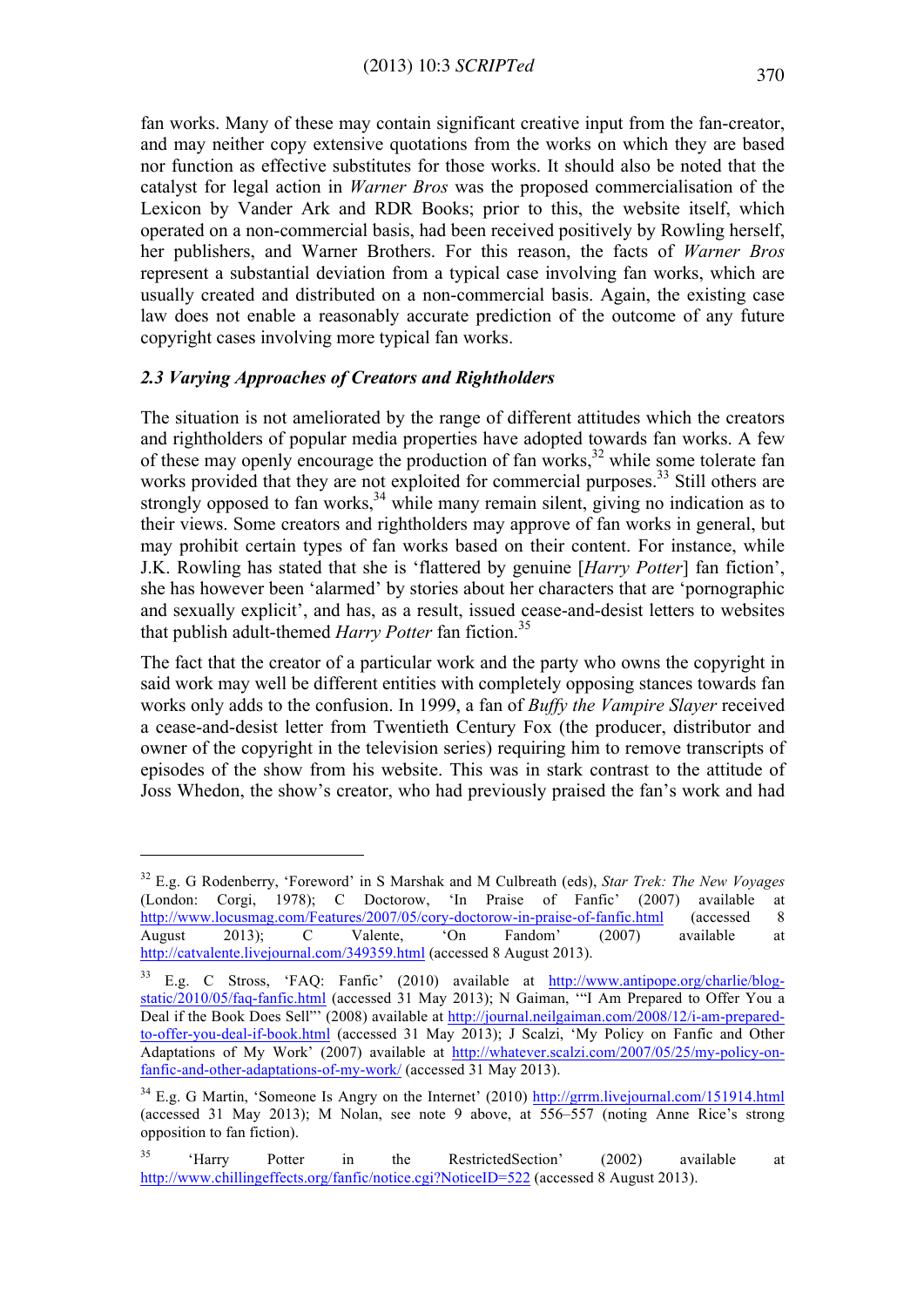fan works. Many of these may contain significant creative input from the fan-creator, and may neither copy extensive quotations from the works on which they are based nor function as effective substitutes for those works. It should also be noted that the catalyst for legal action in *Warner Bros* was the proposed commercialisation of the Lexicon by Vander Ark and RDR Books; prior to this, the website itself, which operated on a non-commercial basis, had been received positively by Rowling herself, her publishers, and Warner Brothers. For this reason, the facts of *Warner Bros* represent a substantial deviation from a typical case involving fan works, which are usually created and distributed on a non-commercial basis. Again, the existing case law does not enable a reasonably accurate prediction of the outcome of any future copyright cases involving more typical fan works.

# *2.3 Varying Approaches of Creators and Rightholders*

 $\overline{a}$ 

The situation is not ameliorated by the range of different attitudes which the creators and rightholders of popular media properties have adopted towards fan works. A few of these may openly encourage the production of fan works,<sup>32</sup> while some tolerate fan works provided that they are not exploited for commercial purposes.<sup>33</sup> Still others are strongly opposed to fan works, $34$  while many remain silent, giving no indication as to their views. Some creators and rightholders may approve of fan works in general, but may prohibit certain types of fan works based on their content. For instance, while J.K. Rowling has stated that she is 'flattered by genuine [*Harry Potter*] fan fiction', she has however been 'alarmed' by stories about her characters that are 'pornographic and sexually explicit', and has, as a result, issued cease-and-desist letters to websites that publish adult-themed *Harry Potter* fan fiction.<sup>35</sup>

The fact that the creator of a particular work and the party who owns the copyright in said work may well be different entities with completely opposing stances towards fan works only adds to the confusion. In 1999, a fan of *Buffy the Vampire Slayer* received a cease-and-desist letter from Twentieth Century Fox (the producer, distributor and owner of the copyright in the television series) requiring him to remove transcripts of episodes of the show from his website. This was in stark contrast to the attitude of Joss Whedon, the show's creator, who had previously praised the fan's work and had

<sup>32</sup> E.g. G Rodenberry, 'Foreword' in S Marshak and M Culbreath (eds), *Star Trek: The New Voyages* (London: Corgi, 1978); C Doctorow, 'In Praise of Fanfic' (2007) available at http://www.locusmag.com/Features/2007/05/cory-doctorow-in-praise-of-fanfic.html (accessed 8 August 2013); C Valente, 'On Fandom' (2007) available at http://catvalente.livejournal.com/349359.html (accessed 8 August 2013).

<sup>&</sup>lt;sup>33</sup> E.g. C Stross, 'FAQ: Fanfic' (2010) available at http://www.antipope.org/charlie/blogstatic/2010/05/faq-fanfic.html (accessed 31 May 2013); N Gaiman, '"I Am Prepared to Offer You a Deal if the Book Does Sell"' (2008) available at http://journal.neilgaiman.com/2008/12/i-am-preparedto-offer-you-deal-if-book.html (accessed 31 May 2013); J Scalzi, 'My Policy on Fanfic and Other Adaptations of My Work' (2007) available at http://whatever.scalzi.com/2007/05/25/my-policy-onfanfic-and-other-adaptations-of-my-work/ (accessed 31 May 2013).

<sup>&</sup>lt;sup>34</sup> E.g. G Martin, 'Someone Is Angry on the Internet' (2010) http://grrm.livejournal.com/151914.html (accessed 31 May 2013); M Nolan, see note 9 above, at 556–557 (noting Anne Rice's strong opposition to fan fiction).

<sup>&</sup>lt;sup>35</sup> 'Harry Potter in the RestrictedSection' (2002) available at http://www.chillingeffects.org/fanfic/notice.cgi?NoticeID=522 (accessed 8 August 2013).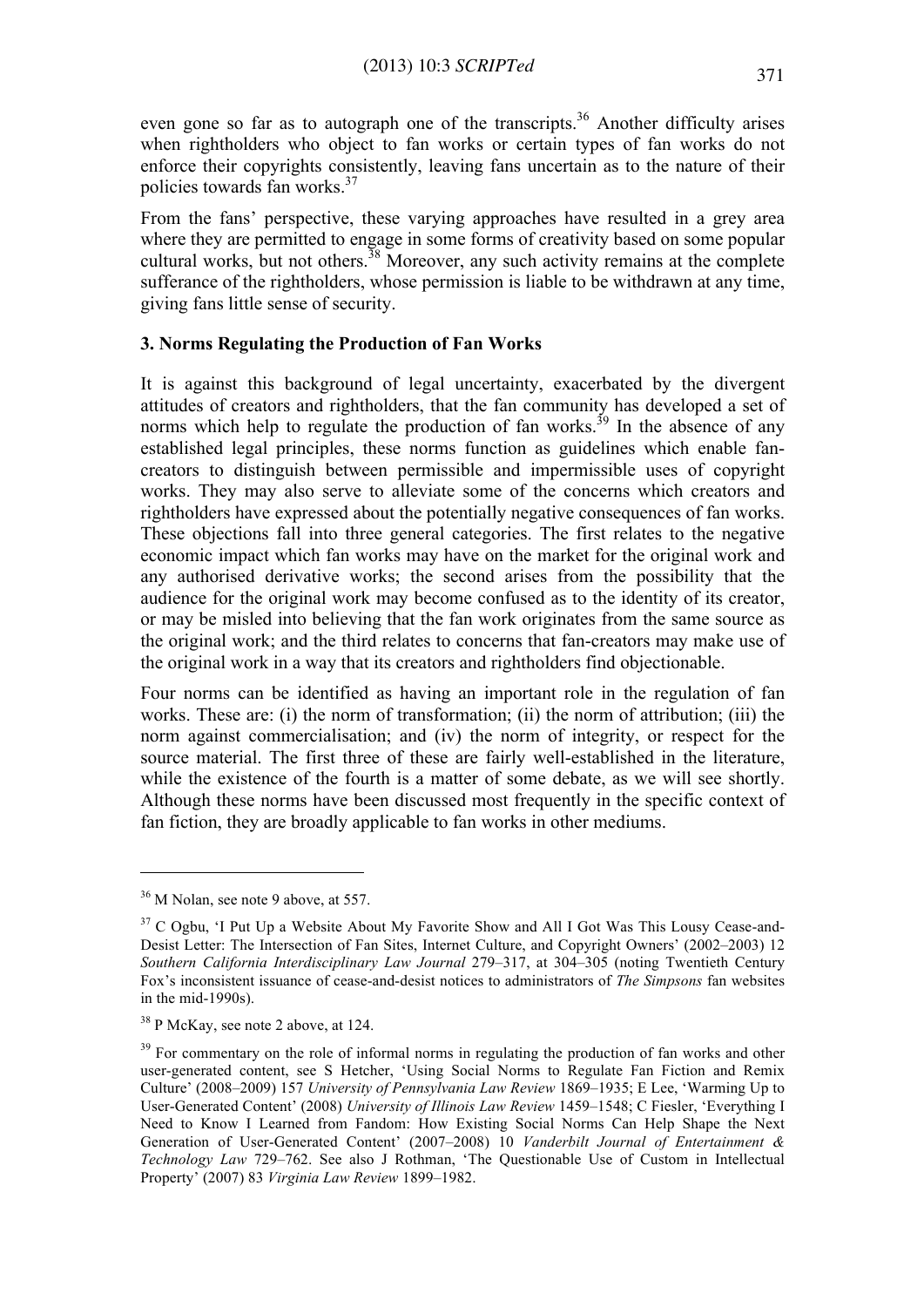even gone so far as to autograph one of the transcripts.<sup>36</sup> Another difficulty arises when rightholders who object to fan works or certain types of fan works do not enforce their copyrights consistently, leaving fans uncertain as to the nature of their policies towards fan works.<sup>37</sup>

From the fans' perspective, these varying approaches have resulted in a grey area where they are permitted to engage in some forms of creativity based on some popular cultural works, but not others.<sup>38</sup> Moreover, any such activity remains at the complete sufferance of the rightholders, whose permission is liable to be withdrawn at any time, giving fans little sense of security.

# **3. Norms Regulating the Production of Fan Works**

It is against this background of legal uncertainty, exacerbated by the divergent attitudes of creators and rightholders, that the fan community has developed a set of norms which help to regulate the production of fan works.<sup>39</sup> In the absence of any established legal principles, these norms function as guidelines which enable fancreators to distinguish between permissible and impermissible uses of copyright works. They may also serve to alleviate some of the concerns which creators and rightholders have expressed about the potentially negative consequences of fan works. These objections fall into three general categories. The first relates to the negative economic impact which fan works may have on the market for the original work and any authorised derivative works; the second arises from the possibility that the audience for the original work may become confused as to the identity of its creator, or may be misled into believing that the fan work originates from the same source as the original work; and the third relates to concerns that fan-creators may make use of the original work in a way that its creators and rightholders find objectionable.

Four norms can be identified as having an important role in the regulation of fan works. These are: (i) the norm of transformation; (ii) the norm of attribution; (iii) the norm against commercialisation; and (iv) the norm of integrity, or respect for the source material. The first three of these are fairly well-established in the literature, while the existence of the fourth is a matter of some debate, as we will see shortly. Although these norms have been discussed most frequently in the specific context of fan fiction, they are broadly applicable to fan works in other mediums.

 $36$  M Nolan, see note 9 above, at 557.

<sup>&</sup>lt;sup>37</sup> C Ogbu, 'I Put Up a Website About My Favorite Show and All I Got Was This Lousy Cease-and-Desist Letter: The Intersection of Fan Sites, Internet Culture, and Copyright Owners' (2002–2003) 12 *Southern California Interdisciplinary Law Journal* 279–317, at 304–305 (noting Twentieth Century Fox's inconsistent issuance of cease-and-desist notices to administrators of *The Simpsons* fan websites in the mid-1990s).

<sup>&</sup>lt;sup>38</sup> P McKay, see note 2 above, at 124.

<sup>&</sup>lt;sup>39</sup> For commentary on the role of informal norms in regulating the production of fan works and other user-generated content, see S Hetcher, 'Using Social Norms to Regulate Fan Fiction and Remix Culture' (2008–2009) 157 *University of Pennsylvania Law Review* 1869–1935; E Lee, 'Warming Up to User-Generated Content' (2008) *University of Illinois Law Review* 1459–1548; C Fiesler, 'Everything I Need to Know I Learned from Fandom: How Existing Social Norms Can Help Shape the Next Generation of User-Generated Content' (2007–2008) 10 *Vanderbilt Journal of Entertainment & Technology Law* 729–762. See also J Rothman, 'The Questionable Use of Custom in Intellectual Property' (2007) 83 *Virginia Law Review* 1899–1982.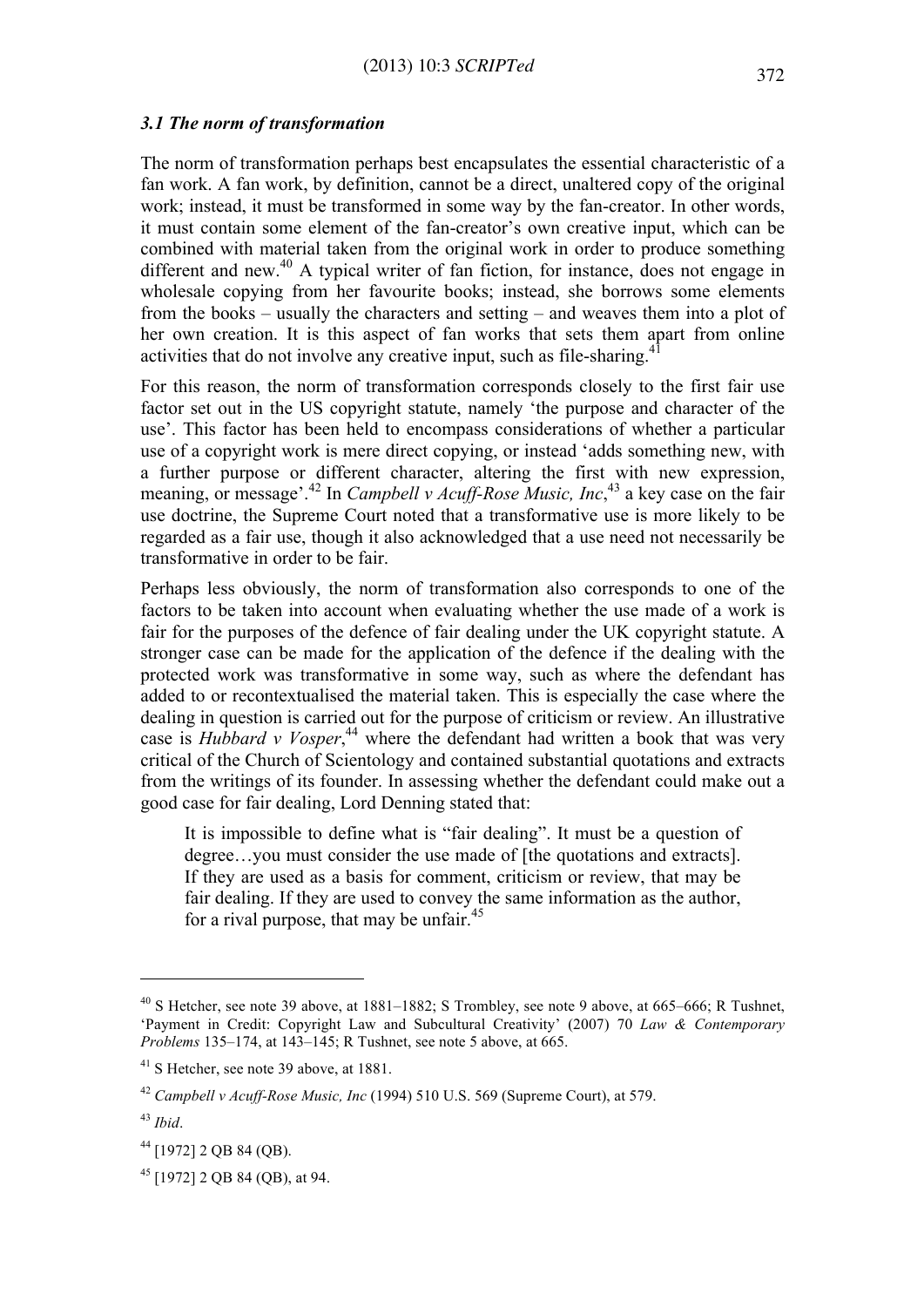#### *3.1 The norm of transformation*

The norm of transformation perhaps best encapsulates the essential characteristic of a fan work. A fan work, by definition, cannot be a direct, unaltered copy of the original work; instead, it must be transformed in some way by the fan-creator. In other words, it must contain some element of the fan-creator's own creative input, which can be combined with material taken from the original work in order to produce something different and new.<sup>40</sup> A typical writer of fan fiction, for instance, does not engage in wholesale copying from her favourite books; instead, she borrows some elements from the books – usually the characters and setting – and weaves them into a plot of her own creation. It is this aspect of fan works that sets them apart from online activities that do not involve any creative input, such as file-sharing.<sup>41</sup>

For this reason, the norm of transformation corresponds closely to the first fair use factor set out in the US copyright statute, namely 'the purpose and character of the use'. This factor has been held to encompass considerations of whether a particular use of a copyright work is mere direct copying, or instead 'adds something new, with a further purpose or different character, altering the first with new expression, meaning, or message'.<sup>42</sup> In *Campbell v Acuff-Rose Music, Inc*, <sup>43</sup> a key case on the fair use doctrine, the Supreme Court noted that a transformative use is more likely to be regarded as a fair use, though it also acknowledged that a use need not necessarily be transformative in order to be fair.

Perhaps less obviously, the norm of transformation also corresponds to one of the factors to be taken into account when evaluating whether the use made of a work is fair for the purposes of the defence of fair dealing under the UK copyright statute. A stronger case can be made for the application of the defence if the dealing with the protected work was transformative in some way, such as where the defendant has added to or recontextualised the material taken. This is especially the case where the dealing in question is carried out for the purpose of criticism or review. An illustrative case is *Hubbard v Vosper*, <sup>44</sup> where the defendant had written a book that was very critical of the Church of Scientology and contained substantial quotations and extracts from the writings of its founder. In assessing whether the defendant could make out a good case for fair dealing, Lord Denning stated that:

It is impossible to define what is "fair dealing". It must be a question of degree…you must consider the use made of [the quotations and extracts]. If they are used as a basis for comment, criticism or review, that may be fair dealing. If they are used to convey the same information as the author, for a rival purpose, that may be unfair. $45$ 

<sup>40</sup> S Hetcher, see note 39 above, at 1881–1882; S Trombley, see note 9 above, at 665–666; R Tushnet, 'Payment in Credit: Copyright Law and Subcultural Creativity' (2007) 70 *Law & Contemporary Problems* 135–174, at 143–145; R Tushnet, see note 5 above, at 665.

<sup>&</sup>lt;sup>41</sup> S Hetcher, see note 39 above, at 1881.

<sup>42</sup> *Campbell v Acuff-Rose Music, Inc* (1994) 510 U.S. 569 (Supreme Court), at 579.

<sup>43</sup> *Ibid*.

<sup>44</sup> [1972] 2 QB 84 (QB).

<sup>45</sup> [1972] 2 QB 84 (QB), at 94.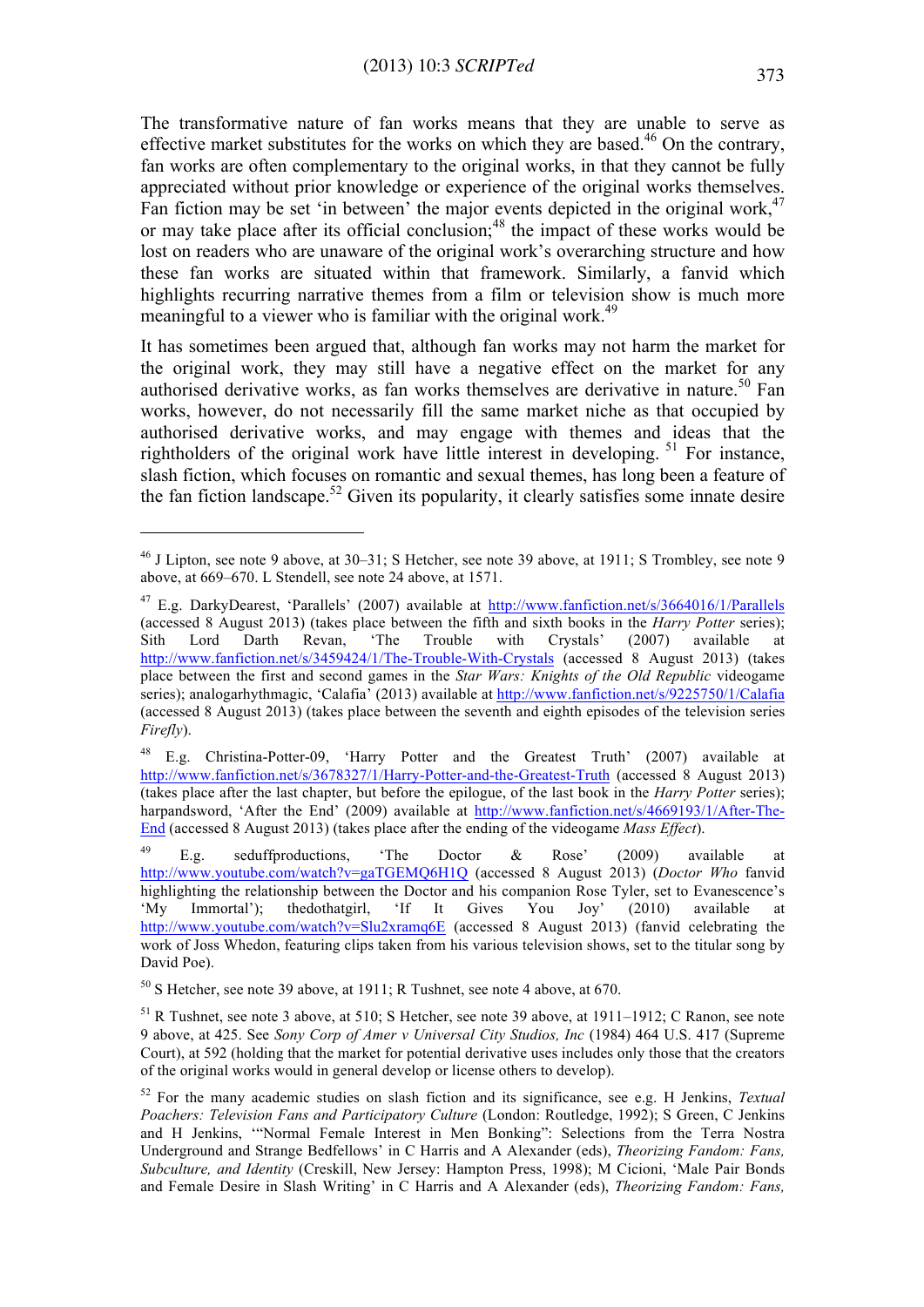The transformative nature of fan works means that they are unable to serve as effective market substitutes for the works on which they are based.<sup>46</sup> On the contrary, fan works are often complementary to the original works, in that they cannot be fully appreciated without prior knowledge or experience of the original works themselves. Fan fiction may be set 'in between' the major events depicted in the original work,  $47$ or may take place after its official conclusion; $48$  the impact of these works would be lost on readers who are unaware of the original work's overarching structure and how these fan works are situated within that framework. Similarly, a fanvid which highlights recurring narrative themes from a film or television show is much more meaningful to a viewer who is familiar with the original work.<sup>49</sup>

It has sometimes been argued that, although fan works may not harm the market for the original work, they may still have a negative effect on the market for any authorised derivative works, as fan works themselves are derivative in nature.<sup>50</sup> Fan works, however, do not necessarily fill the same market niche as that occupied by authorised derivative works, and may engage with themes and ideas that the rightholders of the original work have little interest in developing. <sup>51</sup> For instance, slash fiction, which focuses on romantic and sexual themes, has long been a feature of the fan fiction landscape.<sup>52</sup> Given its popularity, it clearly satisfies some innate desire

<sup>46</sup> J Lipton, see note 9 above, at 30–31; S Hetcher, see note 39 above, at 1911; S Trombley, see note 9 above, at 669–670. L Stendell, see note 24 above, at 1571.

<sup>47</sup> E.g. DarkyDearest, 'Parallels' (2007) available at http://www.fanfiction.net/s/3664016/1/Parallels (accessed 8 August 2013) (takes place between the fifth and sixth books in the *Harry Potter* series); Sith Lord Darth Revan, 'The Trouble with Crystals' (2007) available at http://www.fanfiction.net/s/3459424/1/The-Trouble-With-Crystals (accessed 8 August 2013) (takes place between the first and second games in the *Star Wars: Knights of the Old Republic* videogame series); analogarhythmagic, 'Calafia' (2013) available at http://www.fanfiction.net/s/9225750/1/Calafia (accessed 8 August 2013) (takes place between the seventh and eighth episodes of the television series *Firefly*).

<sup>48</sup> E.g. Christina-Potter-09, 'Harry Potter and the Greatest Truth' (2007) available at http://www.fanfiction.net/s/3678327/1/Harry-Potter-and-the-Greatest-Truth (accessed 8 August 2013) (takes place after the last chapter, but before the epilogue, of the last book in the *Harry Potter* series); harpandsword, 'After the End' (2009) available at http://www.fanfiction.net/s/4669193/1/After-The-End (accessed 8 August 2013) (takes place after the ending of the videogame *Mass Effect*).

<sup>&</sup>lt;sup>49</sup> E.g. seduffproductions, 'The Doctor  $\&$  Rose' (2009) available at http://www.youtube.com/watch?v=gaTGEMQ6H1Q (accessed 8 August 2013) (*Doctor Who* fanvid highlighting the relationship between the Doctor and his companion Rose Tyler, set to Evanescence's 'My Immortal'); thedothatgirl, 'If It Gives You Joy' (2010) available at http://www.youtube.com/watch?v=Slu2xramq6E (accessed 8 August 2013) (fanvid celebrating the work of Joss Whedon, featuring clips taken from his various television shows, set to the titular song by David Poe).

<sup>50</sup> S Hetcher, see note 39 above, at 1911; R Tushnet, see note 4 above, at 670.

<sup>51</sup> R Tushnet, see note 3 above, at 510; S Hetcher, see note 39 above, at 1911–1912; C Ranon, see note 9 above, at 425. See *Sony Corp of Amer v Universal City Studios, Inc* (1984) 464 U.S. 417 (Supreme Court), at 592 (holding that the market for potential derivative uses includes only those that the creators of the original works would in general develop or license others to develop).

<sup>52</sup> For the many academic studies on slash fiction and its significance, see e.g. H Jenkins, *Textual Poachers: Television Fans and Participatory Culture* (London: Routledge, 1992); S Green, C Jenkins and H Jenkins, '"Normal Female Interest in Men Bonking": Selections from the Terra Nostra Underground and Strange Bedfellows' in C Harris and A Alexander (eds), *Theorizing Fandom: Fans, Subculture, and Identity* (Creskill, New Jersey: Hampton Press, 1998); M Cicioni, 'Male Pair Bonds and Female Desire in Slash Writing' in C Harris and A Alexander (eds), *Theorizing Fandom: Fans,*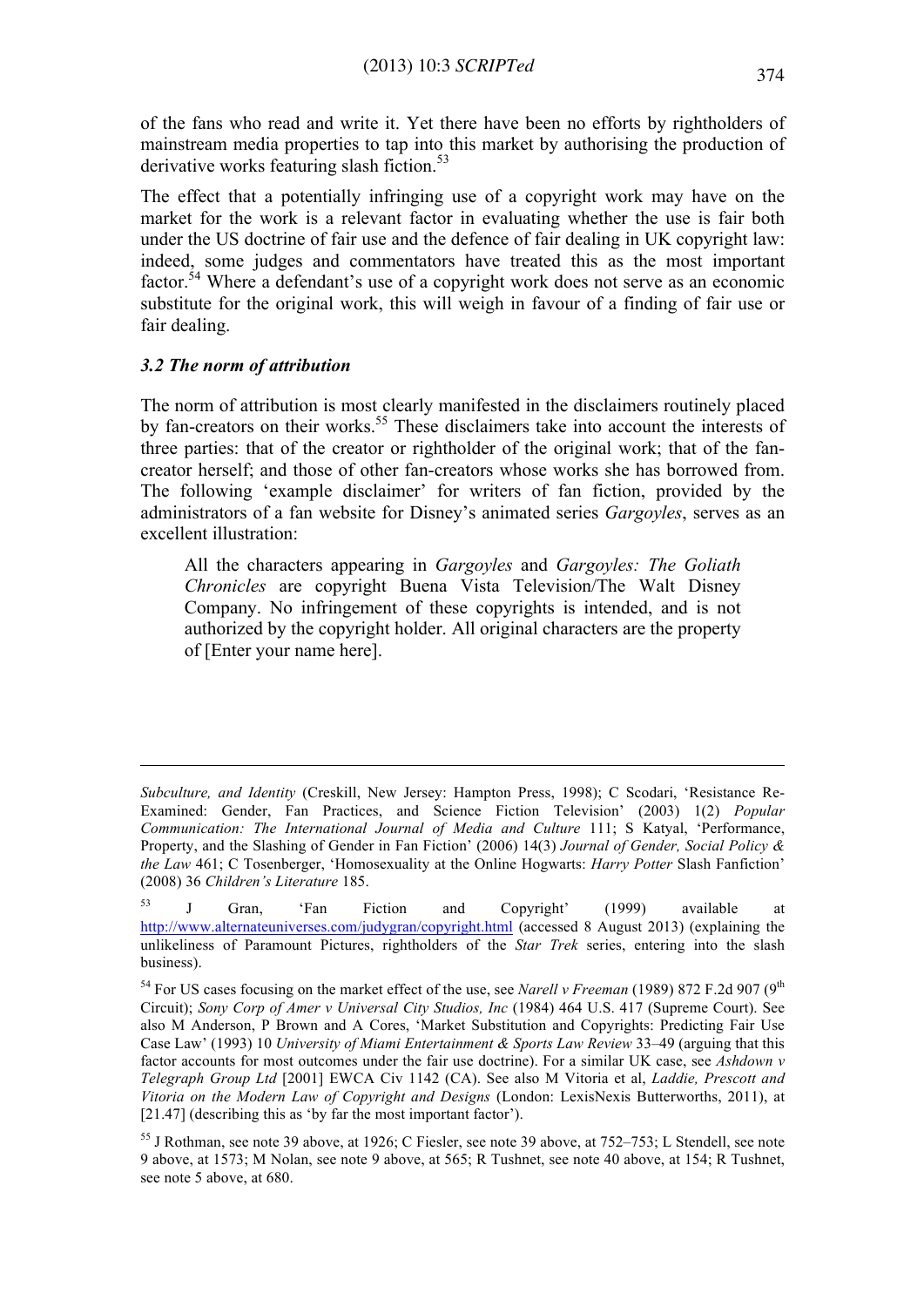of the fans who read and write it. Yet there have been no efforts by rightholders of mainstream media properties to tap into this market by authorising the production of derivative works featuring slash fiction.<sup>53</sup>

The effect that a potentially infringing use of a copyright work may have on the market for the work is a relevant factor in evaluating whether the use is fair both under the US doctrine of fair use and the defence of fair dealing in UK copyright law: indeed, some judges and commentators have treated this as the most important factor.<sup>54</sup> Where a defendant's use of a copyright work does not serve as an economic substitute for the original work, this will weigh in favour of a finding of fair use or fair dealing.

### *3.2 The norm of attribution*

 $\overline{a}$ 

The norm of attribution is most clearly manifested in the disclaimers routinely placed by fan-creators on their works.<sup>55</sup> These disclaimers take into account the interests of three parties: that of the creator or rightholder of the original work; that of the fancreator herself; and those of other fan-creators whose works she has borrowed from. The following 'example disclaimer' for writers of fan fiction, provided by the administrators of a fan website for Disney's animated series *Gargoyles*, serves as an excellent illustration:

All the characters appearing in *Gargoyles* and *Gargoyles: The Goliath Chronicles* are copyright Buena Vista Television/The Walt Disney Company. No infringement of these copyrights is intended, and is not authorized by the copyright holder. All original characters are the property of [Enter your name here].

*Subculture, and Identity* (Creskill, New Jersey: Hampton Press, 1998); C Scodari, 'Resistance Re-Examined: Gender, Fan Practices, and Science Fiction Television' (2003) 1(2) *Popular Communication: The International Journal of Media and Culture* 111; S Katyal, 'Performance, Property, and the Slashing of Gender in Fan Fiction' (2006) 14(3) *Journal of Gender, Social Policy & the Law* 461; C Tosenberger, 'Homosexuality at the Online Hogwarts: *Harry Potter* Slash Fanfiction' (2008) 36 *Children's Literature* 185.

<sup>&</sup>lt;sup>53</sup> J Gran, 'Fan Fiction and Copyright' (1999) available at http://www.alternateuniverses.com/judygran/copyright.html (accessed 8 August 2013) (explaining the unlikeliness of Paramount Pictures, rightholders of the *Star Trek* series, entering into the slash business).

<sup>&</sup>lt;sup>54</sup> For US cases focusing on the market effect of the use, see *Narell v Freeman* (1989) 872 F.2d 907 (9<sup>th</sup>) Circuit); *Sony Corp of Amer v Universal City Studios, Inc* (1984) 464 U.S. 417 (Supreme Court). See also M Anderson, P Brown and A Cores, 'Market Substitution and Copyrights: Predicting Fair Use Case Law' (1993) 10 *University of Miami Entertainment & Sports Law Review* 33–49 (arguing that this factor accounts for most outcomes under the fair use doctrine). For a similar UK case, see *Ashdown v Telegraph Group Ltd* [2001] EWCA Civ 1142 (CA). See also M Vitoria et al, *Laddie, Prescott and Vitoria on the Modern Law of Copyright and Designs* (London: LexisNexis Butterworths, 2011), at [21.47] (describing this as 'by far the most important factor').

<sup>55</sup> J Rothman, see note 39 above, at 1926; C Fiesler, see note 39 above, at 752–753; L Stendell, see note 9 above, at 1573; M Nolan, see note 9 above, at 565; R Tushnet, see note 40 above, at 154; R Tushnet, see note 5 above, at 680.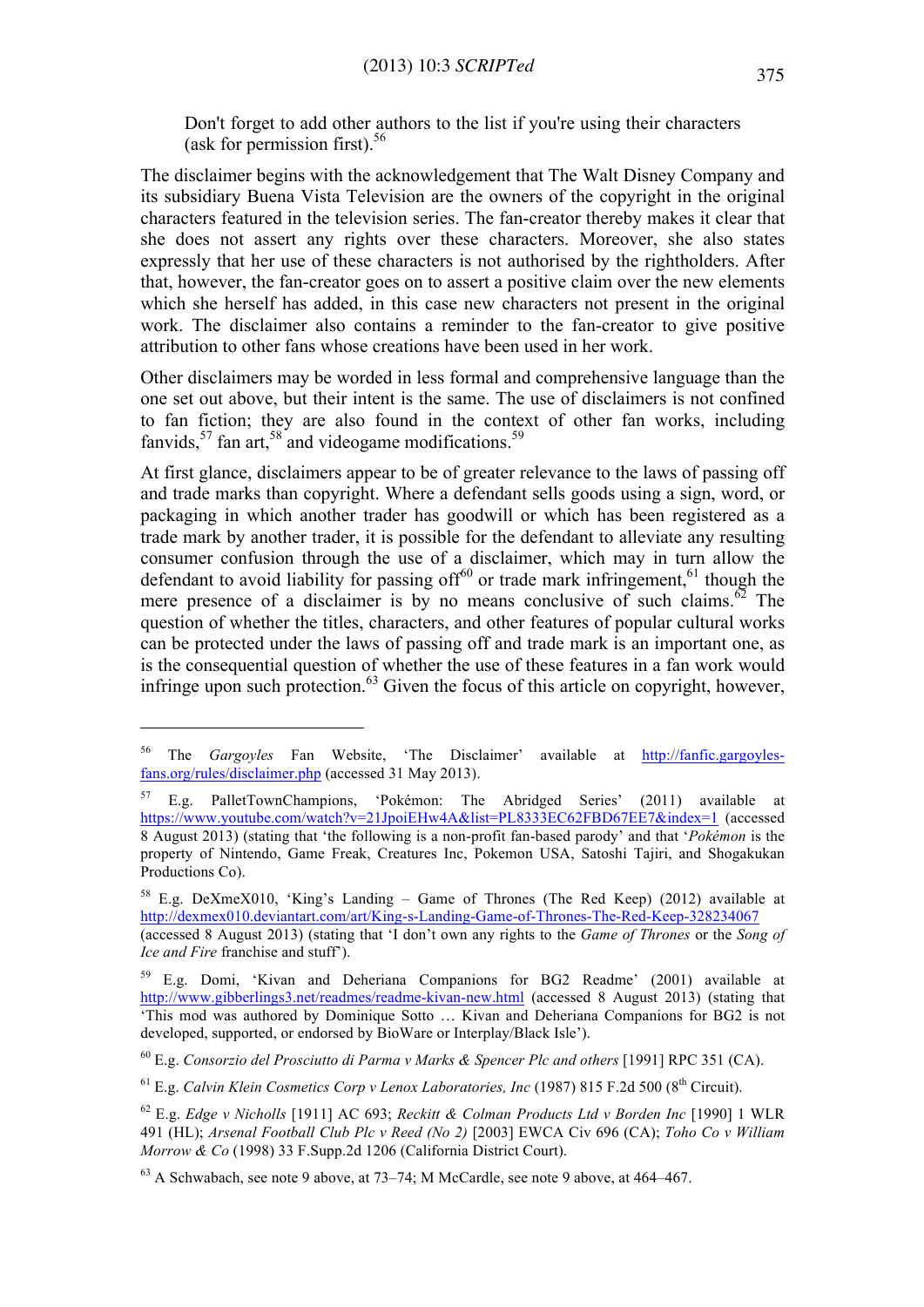Don't forget to add other authors to the list if you're using their characters (ask for permission first). $56$ 

The disclaimer begins with the acknowledgement that The Walt Disney Company and its subsidiary Buena Vista Television are the owners of the copyright in the original characters featured in the television series. The fan-creator thereby makes it clear that she does not assert any rights over these characters. Moreover, she also states expressly that her use of these characters is not authorised by the rightholders. After that, however, the fan-creator goes on to assert a positive claim over the new elements which she herself has added, in this case new characters not present in the original work. The disclaimer also contains a reminder to the fan-creator to give positive attribution to other fans whose creations have been used in her work.

Other disclaimers may be worded in less formal and comprehensive language than the one set out above, but their intent is the same. The use of disclaimers is not confined to fan fiction; they are also found in the context of other fan works, including fanvids,  $57$  fan art,  $58$  and videogame modifications.<sup>59</sup>

At first glance, disclaimers appear to be of greater relevance to the laws of passing off and trade marks than copyright. Where a defendant sells goods using a sign, word, or packaging in which another trader has goodwill or which has been registered as a trade mark by another trader, it is possible for the defendant to alleviate any resulting consumer confusion through the use of a disclaimer, which may in turn allow the defendant to avoid liability for passing of  $f^{60}$  or trade mark infringement.<sup>61</sup> though the mere presence of a disclaimer is by no means conclusive of such claims. $^{62}$  The question of whether the titles, characters, and other features of popular cultural works can be protected under the laws of passing off and trade mark is an important one, as is the consequential question of whether the use of these features in a fan work would infringe upon such protection. $^{63}$  Given the focus of this article on copyright, however,

<sup>56</sup> The *Gargoyles* Fan Website, 'The Disclaimer' available at http://fanfic.gargoylesfans.org/rules/disclaimer.php (accessed 31 May 2013).

<sup>57</sup> E.g. PalletTownChampions, 'Pokémon: The Abridged Series' (2011) available at https://www.youtube.com/watch?v=21JpoiEHw4A&list=PL8333EC62FBD67EE7&index=1 (accessed 8 August 2013) (stating that 'the following is a non-profit fan-based parody' and that '*Pokémon* is the property of Nintendo, Game Freak, Creatures Inc, Pokemon USA, Satoshi Tajiri, and Shogakukan Productions Co).

<sup>58</sup> E.g. DeXmeX010, 'King's Landing – Game of Thrones (The Red Keep) (2012) available at http://dexmex010.deviantart.com/art/King-s-Landing-Game-of-Thrones-The-Red-Keep-328234067

<sup>(</sup>accessed 8 August 2013) (stating that 'I don't own any rights to the *Game of Thrones* or the *Song of Ice and Fire* franchise and stuff').

<sup>59</sup> E.g. Domi, 'Kivan and Deheriana Companions for BG2 Readme' (2001) available at http://www.gibberlings3.net/readmes/readme-kivan-new.html (accessed 8 August 2013) (stating that 'This mod was authored by Dominique Sotto … Kivan and Deheriana Companions for BG2 is not developed, supported, or endorsed by BioWare or Interplay/Black Isle').

<sup>60</sup> E.g. *Consorzio del Prosciutto di Parma v Marks & Spencer Plc and others* [1991] RPC 351 (CA).

<sup>&</sup>lt;sup>61</sup> E.g. *Calvin Klein Cosmetics Corp v Lenox Laboratories, Inc* (1987) 815 F.2d 500 (8<sup>th</sup> Circuit).

<sup>62</sup> E.g. *Edge v Nicholls* [1911] AC 693; *Reckitt & Colman Products Ltd v Borden Inc* [1990] 1 WLR 491 (HL); *Arsenal Football Club Plc v Reed (No 2)* [2003] EWCA Civ 696 (CA); *Toho Co v William Morrow & Co* (1998) 33 F.Supp.2d 1206 (California District Court).

<sup>63</sup> A Schwabach, see note 9 above, at 73–74; M McCardle, see note 9 above, at 464–467.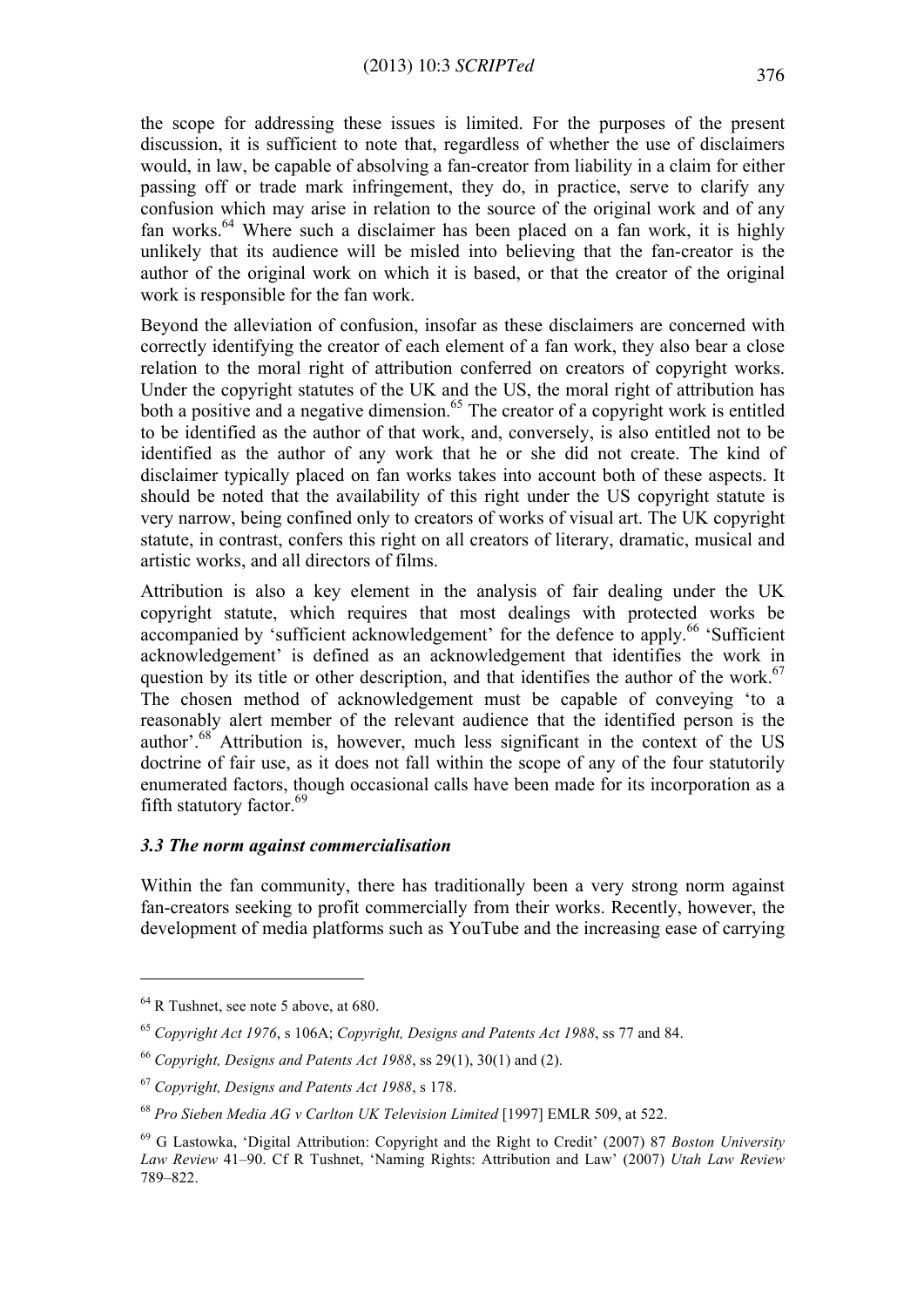the scope for addressing these issues is limited. For the purposes of the present discussion, it is sufficient to note that, regardless of whether the use of disclaimers would, in law, be capable of absolving a fan-creator from liability in a claim for either passing off or trade mark infringement, they do, in practice, serve to clarify any confusion which may arise in relation to the source of the original work and of any fan works.<sup>64</sup> Where such a disclaimer has been placed on a fan work, it is highly unlikely that its audience will be misled into believing that the fan-creator is the author of the original work on which it is based, or that the creator of the original work is responsible for the fan work.

Beyond the alleviation of confusion, insofar as these disclaimers are concerned with correctly identifying the creator of each element of a fan work, they also bear a close relation to the moral right of attribution conferred on creators of copyright works. Under the copyright statutes of the UK and the US, the moral right of attribution has both a positive and a negative dimension.<sup>65</sup> The creator of a copyright work is entitled to be identified as the author of that work, and, conversely, is also entitled not to be identified as the author of any work that he or she did not create. The kind of disclaimer typically placed on fan works takes into account both of these aspects. It should be noted that the availability of this right under the US copyright statute is very narrow, being confined only to creators of works of visual art. The UK copyright statute, in contrast, confers this right on all creators of literary, dramatic, musical and artistic works, and all directors of films.

Attribution is also a key element in the analysis of fair dealing under the UK copyright statute, which requires that most dealings with protected works be accompanied by 'sufficient acknowledgement' for the defence to apply.<sup>66</sup> 'Sufficient' acknowledgement' is defined as an acknowledgement that identifies the work in question by its title or other description, and that identifies the author of the work.<sup>67</sup> The chosen method of acknowledgement must be capable of conveying 'to a reasonably alert member of the relevant audience that the identified person is the author'.<sup>68</sup> Attribution is, however, much less significant in the context of the US doctrine of fair use, as it does not fall within the scope of any of the four statutorily enumerated factors, though occasional calls have been made for its incorporation as a fifth statutory factor. $69$ 

# *3.3 The norm against commercialisation*

Within the fan community, there has traditionally been a very strong norm against fan-creators seeking to profit commercially from their works. Recently, however, the development of media platforms such as YouTube and the increasing ease of carrying

<sup>64</sup> R Tushnet, see note 5 above, at 680.

<sup>65</sup> *Copyright Act 1976*, s 106A; *Copyright, Designs and Patents Act 1988*, ss 77 and 84.

<sup>66</sup> *Copyright, Designs and Patents Act 1988*, ss 29(1), 30(1) and (2).

<sup>67</sup> *Copyright, Designs and Patents Act 1988*, s 178.

<sup>68</sup> *Pro Sieben Media AG v Carlton UK Television Limited* [1997] EMLR 509, at 522.

<sup>69</sup> G Lastowka, 'Digital Attribution: Copyright and the Right to Credit' (2007) 87 *Boston University Law Review* 41–90. Cf R Tushnet, 'Naming Rights: Attribution and Law' (2007) *Utah Law Review* 789–822.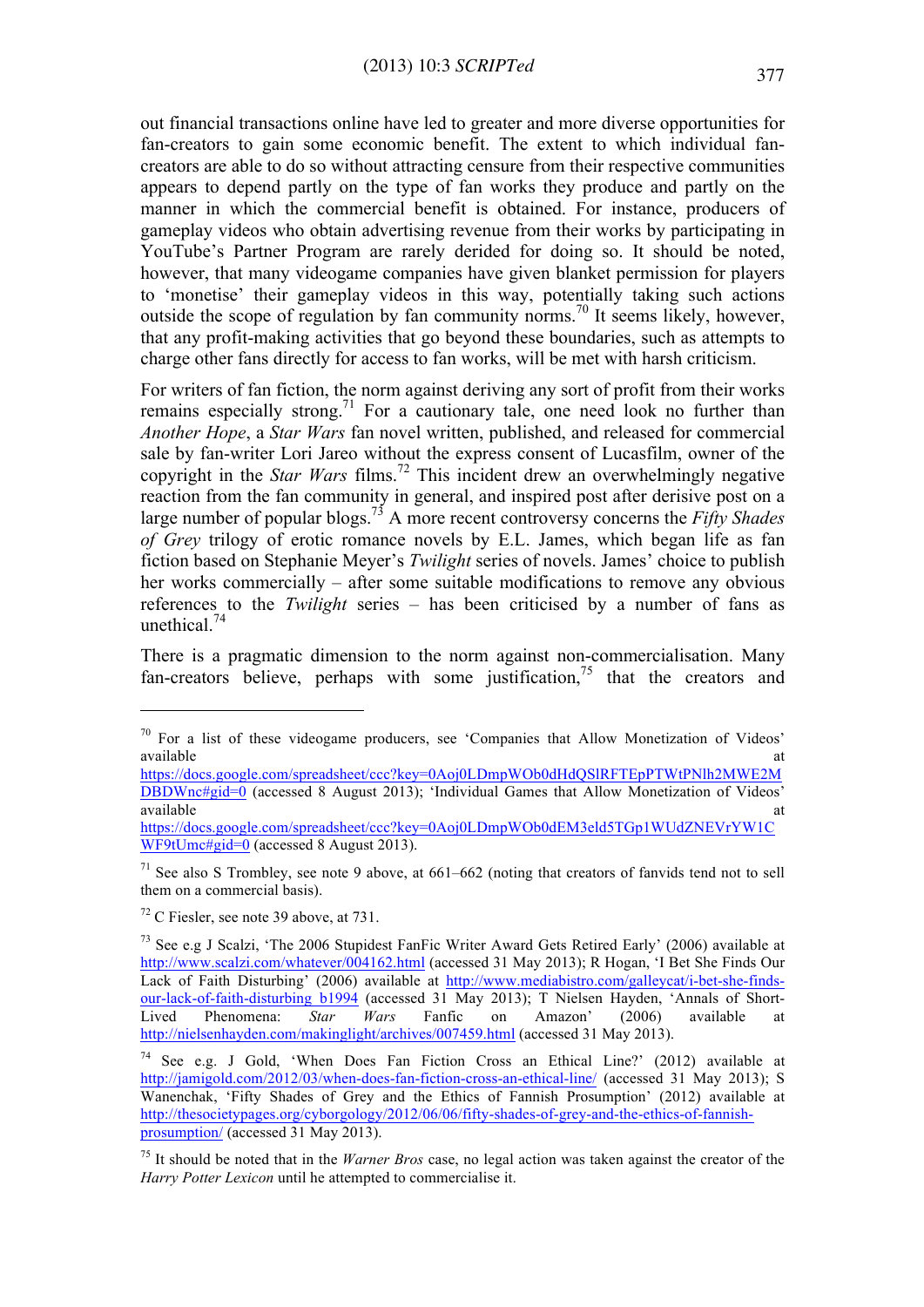out financial transactions online have led to greater and more diverse opportunities for fan-creators to gain some economic benefit. The extent to which individual fancreators are able to do so without attracting censure from their respective communities appears to depend partly on the type of fan works they produce and partly on the manner in which the commercial benefit is obtained. For instance, producers of gameplay videos who obtain advertising revenue from their works by participating in YouTube's Partner Program are rarely derided for doing so. It should be noted, however, that many videogame companies have given blanket permission for players to 'monetise' their gameplay videos in this way, potentially taking such actions outside the scope of regulation by fan community norms.<sup>70</sup> It seems likely, however, that any profit-making activities that go beyond these boundaries, such as attempts to charge other fans directly for access to fan works, will be met with harsh criticism.

For writers of fan fiction, the norm against deriving any sort of profit from their works remains especially strong.<sup>71</sup> For a cautionary tale, one need look no further than *Another Hope*, a *Star Wars* fan novel written, published, and released for commercial sale by fan-writer Lori Jareo without the express consent of Lucasfilm, owner of the copyright in the *Star Wars* films.<sup>72</sup> This incident drew an overwhelmingly negative reaction from the fan community in general, and inspired post after derisive post on a large number of popular blogs.73 A more recent controversy concerns the *Fifty Shades of Grey* trilogy of erotic romance novels by E.L. James, which began life as fan fiction based on Stephanie Meyer's *Twilight* series of novels. James' choice to publish her works commercially – after some suitable modifications to remove any obvious references to the *Twilight* series – has been criticised by a number of fans as unethical. 74

There is a pragmatic dimension to the norm against non-commercialisation. Many fan-creators believe, perhaps with some justification,<sup>75</sup> that the creators and

https://docs.google.com/spreadsheet/ccc?key=0Aoj0LDmpWOb0dHdQSlRFTEpPTWtPNlh2MWE2M DBDWnc#gid=0 (accessed 8 August 2013); 'Individual Games that Allow Monetization of Videos' available at the contract of the contract of the contract of the contract of the contract of the contract of the contract of the contract of the contract of the contract of the contract of the contract of the contract of t https://docs.google.com/spreadsheet/ccc?key=0Aoj0LDmpWOb0dEM3eld5TGp1WUdZNEVrYW1C WF9tUmc#gid=0 (accessed 8 August 2013).

 $71$  See also S Trombley, see note 9 above, at 661–662 (noting that creators of fanvids tend not to sell them on a commercial basis).

<sup>72</sup> C Fiesler, see note 39 above, at 731.

 $70$  For a list of these videogame producers, see 'Companies that Allow Monetization of Videos' available at the contract of the contract of the contract of the contract of the contract of the contract of the contract of the contract of the contract of the contract of the contract of the contract of the contract of t

<sup>73</sup> See e.g J Scalzi, 'The 2006 Stupidest FanFic Writer Award Gets Retired Early' (2006) available at http://www.scalzi.com/whatever/004162.html (accessed 31 May 2013); R Hogan, 'I Bet She Finds Our Lack of Faith Disturbing' (2006) available at http://www.mediabistro.com/galleycat/i-bet-she-findsour-lack-of-faith-disturbing\_b1994 (accessed 31 May 2013); T Nielsen Hayden, 'Annals of Short-Lived Phenomena: *Star Wars* Fanfic on Amazon' (2006) available at http://nielsenhayden.com/makinglight/archives/007459.html (accessed 31 May 2013).

<sup>74</sup> See e.g. J Gold, 'When Does Fan Fiction Cross an Ethical Line?' (2012) available at http://jamigold.com/2012/03/when-does-fan-fiction-cross-an-ethical-line/ (accessed 31 May 2013); S Wanenchak, 'Fifty Shades of Grey and the Ethics of Fannish Prosumption' (2012) available at http://thesocietypages.org/cyborgology/2012/06/06/fifty-shades-of-grey-and-the-ethics-of-fannishprosumption/ (accessed 31 May 2013).

<sup>75</sup> It should be noted that in the *Warner Bros* case, no legal action was taken against the creator of the *Harry Potter Lexicon* until he attempted to commercialise it.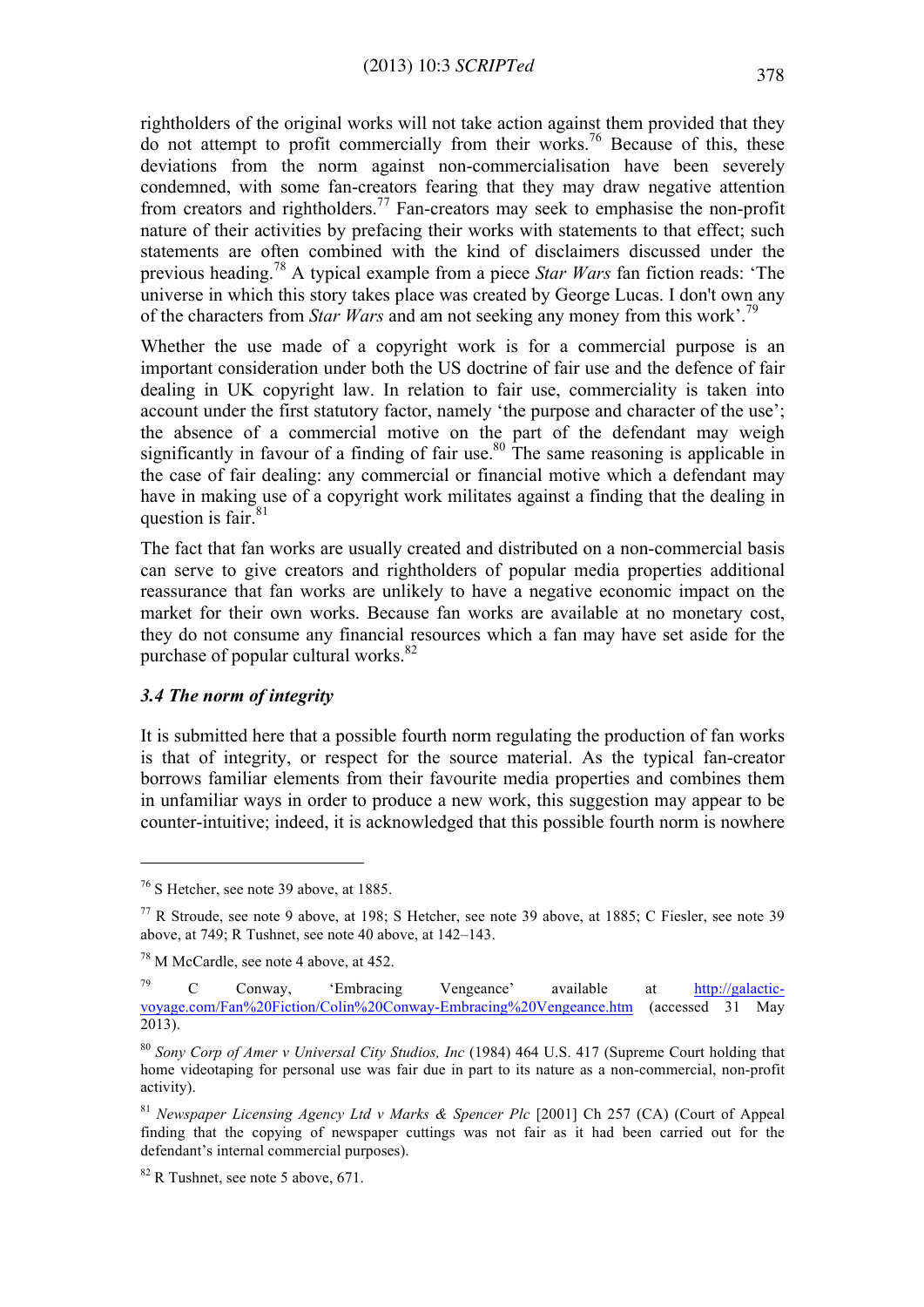rightholders of the original works will not take action against them provided that they do not attempt to profit commercially from their works.<sup>76</sup> Because of this, these deviations from the norm against non-commercialisation have been severely condemned, with some fan-creators fearing that they may draw negative attention from creators and rightholders.<sup>77</sup> Fan-creators may seek to emphasise the non-profit nature of their activities by prefacing their works with statements to that effect; such statements are often combined with the kind of disclaimers discussed under the previous heading.<sup>78</sup> A typical example from a piece *Star Wars* fan fiction reads: 'The universe in which this story takes place was created by George Lucas. I don't own any of the characters from *Star Wars* and am not seeking any money from this work'.79

Whether the use made of a copyright work is for a commercial purpose is an important consideration under both the US doctrine of fair use and the defence of fair dealing in UK copyright law. In relation to fair use, commerciality is taken into account under the first statutory factor, namely 'the purpose and character of the use'; the absence of a commercial motive on the part of the defendant may weigh significantly in favour of a finding of fair use.<sup>80</sup> The same reasoning is applicable in the case of fair dealing: any commercial or financial motive which a defendant may have in making use of a copyright work militates against a finding that the dealing in question is fair.<sup>81</sup>

The fact that fan works are usually created and distributed on a non-commercial basis can serve to give creators and rightholders of popular media properties additional reassurance that fan works are unlikely to have a negative economic impact on the market for their own works. Because fan works are available at no monetary cost, they do not consume any financial resources which a fan may have set aside for the purchase of popular cultural works. $82$ 

### *3.4 The norm of integrity*

 $\overline{a}$ 

It is submitted here that a possible fourth norm regulating the production of fan works is that of integrity, or respect for the source material. As the typical fan-creator borrows familiar elements from their favourite media properties and combines them in unfamiliar ways in order to produce a new work, this suggestion may appear to be counter-intuitive; indeed, it is acknowledged that this possible fourth norm is nowhere

<sup>76</sup> S Hetcher, see note 39 above, at 1885.

<sup>77</sup> R Stroude, see note 9 above, at 198; S Hetcher, see note 39 above, at 1885; C Fiesler, see note 39 above, at 749; R Tushnet, see note 40 above, at 142–143.

<sup>&</sup>lt;sup>78</sup> M McCardle, see note 4 above, at 452.

<sup>79</sup> C Conway, 'Embracing Vengeance' available at http://galacticvoyage.com/Fan%20Fiction/Colin%20Conway-Embracing%20Vengeance.htm (accessed 31 May 2013).

<sup>80</sup> *Sony Corp of Amer v Universal City Studios, Inc* (1984) 464 U.S. 417 (Supreme Court holding that home videotaping for personal use was fair due in part to its nature as a non-commercial, non-profit activity).

<sup>81</sup> *Newspaper Licensing Agency Ltd v Marks & Spencer Plc* [2001] Ch 257 (CA) (Court of Appeal finding that the copying of newspaper cuttings was not fair as it had been carried out for the defendant's internal commercial purposes).

 $82$  R Tushnet, see note 5 above, 671.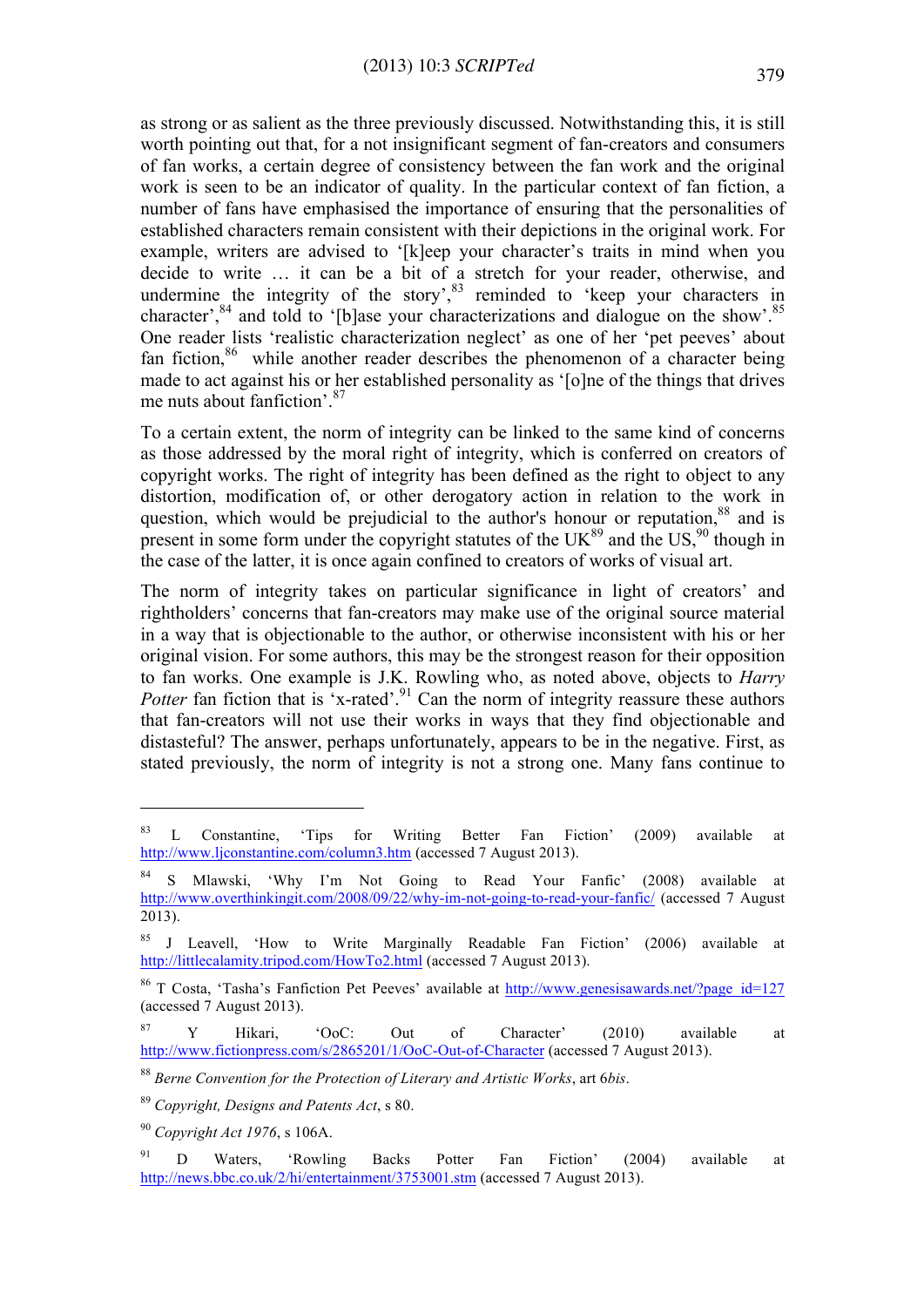as strong or as salient as the three previously discussed. Notwithstanding this, it is still worth pointing out that, for a not insignificant segment of fan-creators and consumers of fan works, a certain degree of consistency between the fan work and the original work is seen to be an indicator of quality. In the particular context of fan fiction, a number of fans have emphasised the importance of ensuring that the personalities of established characters remain consistent with their depictions in the original work. For example, writers are advised to '[k]eep your character's traits in mind when you decide to write … it can be a bit of a stretch for your reader, otherwise, and undermine the integrity of the story',<sup>83</sup> reminded to 'keep your characters in character', <sup>84</sup> and told to '[b]ase your characterizations and dialogue on the show'.<sup>85</sup> One reader lists 'realistic characterization neglect' as one of her 'pet peeves' about fan fiction,<sup>86</sup> while another reader describes the phenomenon of a character being made to act against his or her established personality as '[o]ne of the things that drives me nuts about fanfiction'.<sup>87</sup>

To a certain extent, the norm of integrity can be linked to the same kind of concerns as those addressed by the moral right of integrity, which is conferred on creators of copyright works. The right of integrity has been defined as the right to object to any distortion, modification of, or other derogatory action in relation to the work in question, which would be prejudicial to the author's honour or reputation,  $88$  and is present in some form under the copyright statutes of the  $UK^{89}$  and the US,<sup>90</sup> though in the case of the latter, it is once again confined to creators of works of visual art.

The norm of integrity takes on particular significance in light of creators' and rightholders' concerns that fan-creators may make use of the original source material in a way that is objectionable to the author, or otherwise inconsistent with his or her original vision. For some authors, this may be the strongest reason for their opposition to fan works. One example is J.K. Rowling who, as noted above, objects to *Harry Potter fan fiction that is 'x-rated'.*<sup>91</sup> Can the norm of integrity reassure these authors that fan-creators will not use their works in ways that they find objectionable and distasteful? The answer, perhaps unfortunately, appears to be in the negative. First, as stated previously, the norm of integrity is not a strong one. Many fans continue to

<sup>&</sup>lt;sup>83</sup> L Constantine, 'Tips for Writing Better Fan Fiction' (2009) available at http://www.ljconstantine.com/column3.htm (accessed 7 August 2013).

Mlawski, 'Why I'm Not Going to Read Your Fanfic' (2008) available at http://www.overthinkingit.com/2008/09/22/why-im-not-going-to-read-your-fanfic/ (accessed 7 August 2013).

<sup>85</sup> J Leavell, 'How to Write Marginally Readable Fan Fiction' (2006) available at http://littlecalamity.tripod.com/HowTo2.html (accessed 7 August 2013).

<sup>&</sup>lt;sup>86</sup> T Costa, 'Tasha's Fanfiction Pet Peeves' available at http://www.genesisawards.net/?page\_id=127 (accessed 7 August 2013).

 $87$  Y Hikari, 'OoC: Out of Character' (2010) available at http://www.fictionpress.com/s/2865201/1/OoC-Out-of-Character (accessed 7 August 2013).

<sup>88</sup> *Berne Convention for the Protection of Literary and Artistic Works*, art 6*bis*.

<sup>89</sup> *Copyright, Designs and Patents Act*, s 80.

<sup>90</sup> *Copyright Act 1976*, s 106A.

<sup>&</sup>lt;sup>91</sup> D Waters, 'Rowling Backs Potter Fan Fiction' (2004) available at http://news.bbc.co.uk/2/hi/entertainment/3753001.stm (accessed 7 August 2013).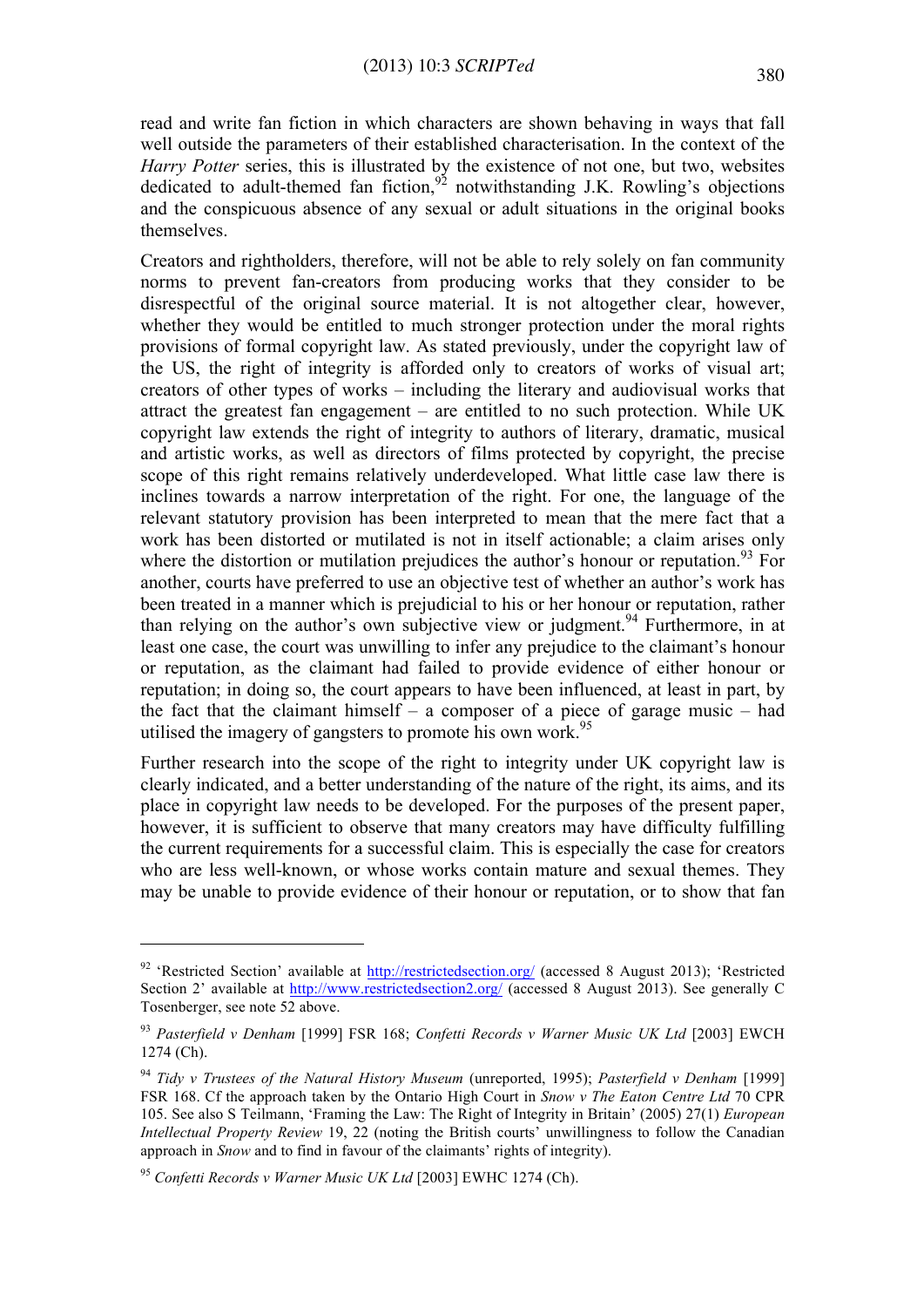read and write fan fiction in which characters are shown behaving in ways that fall well outside the parameters of their established characterisation. In the context of the *Harry Potter* series, this is illustrated by the existence of not one, but two, websites dedicated to adult-themed fan fiction,<sup>92</sup> notwithstanding J.K. Rowling's objections and the conspicuous absence of any sexual or adult situations in the original books themselves.

Creators and rightholders, therefore, will not be able to rely solely on fan community norms to prevent fan-creators from producing works that they consider to be disrespectful of the original source material. It is not altogether clear, however, whether they would be entitled to much stronger protection under the moral rights provisions of formal copyright law. As stated previously, under the copyright law of the US, the right of integrity is afforded only to creators of works of visual art; creators of other types of works – including the literary and audiovisual works that attract the greatest fan engagement – are entitled to no such protection. While UK copyright law extends the right of integrity to authors of literary, dramatic, musical and artistic works, as well as directors of films protected by copyright, the precise scope of this right remains relatively underdeveloped. What little case law there is inclines towards a narrow interpretation of the right. For one, the language of the relevant statutory provision has been interpreted to mean that the mere fact that a work has been distorted or mutilated is not in itself actionable; a claim arises only where the distortion or mutilation prejudices the author's honour or reputation.<sup>93</sup> For another, courts have preferred to use an objective test of whether an author's work has been treated in a manner which is prejudicial to his or her honour or reputation, rather than relying on the author's own subjective view or judgment.<sup>94</sup> Furthermore, in at least one case, the court was unwilling to infer any prejudice to the claimant's honour or reputation, as the claimant had failed to provide evidence of either honour or reputation; in doing so, the court appears to have been influenced, at least in part, by the fact that the claimant himself – a composer of a piece of garage music – had utilised the imagery of gangsters to promote his own work.<sup>95</sup>

Further research into the scope of the right to integrity under UK copyright law is clearly indicated, and a better understanding of the nature of the right, its aims, and its place in copyright law needs to be developed. For the purposes of the present paper, however, it is sufficient to observe that many creators may have difficulty fulfilling the current requirements for a successful claim. This is especially the case for creators who are less well-known, or whose works contain mature and sexual themes. They may be unable to provide evidence of their honour or reputation, or to show that fan

<sup>&</sup>lt;sup>92</sup> 'Restricted Section' available at http://restrictedsection.org/ (accessed 8 August 2013); 'Restricted Section 2' available at http://www.restrictedsection2.org/ (accessed 8 August 2013). See generally C Tosenberger, see note 52 above.

<sup>93</sup> *Pasterfield v Denham* [1999] FSR 168; *Confetti Records v Warner Music UK Ltd* [2003] EWCH 1274 (Ch).

<sup>94</sup> *Tidy v Trustees of the Natural History Museum* (unreported, 1995); *Pasterfield v Denham* [1999] FSR 168. Cf the approach taken by the Ontario High Court in *Snow v The Eaton Centre Ltd* 70 CPR 105. See also S Teilmann, 'Framing the Law: The Right of Integrity in Britain' (2005) 27(1) *European Intellectual Property Review* 19, 22 (noting the British courts' unwillingness to follow the Canadian approach in *Snow* and to find in favour of the claimants' rights of integrity).

<sup>95</sup> *Confetti Records v Warner Music UK Ltd* [2003] EWHC 1274 (Ch).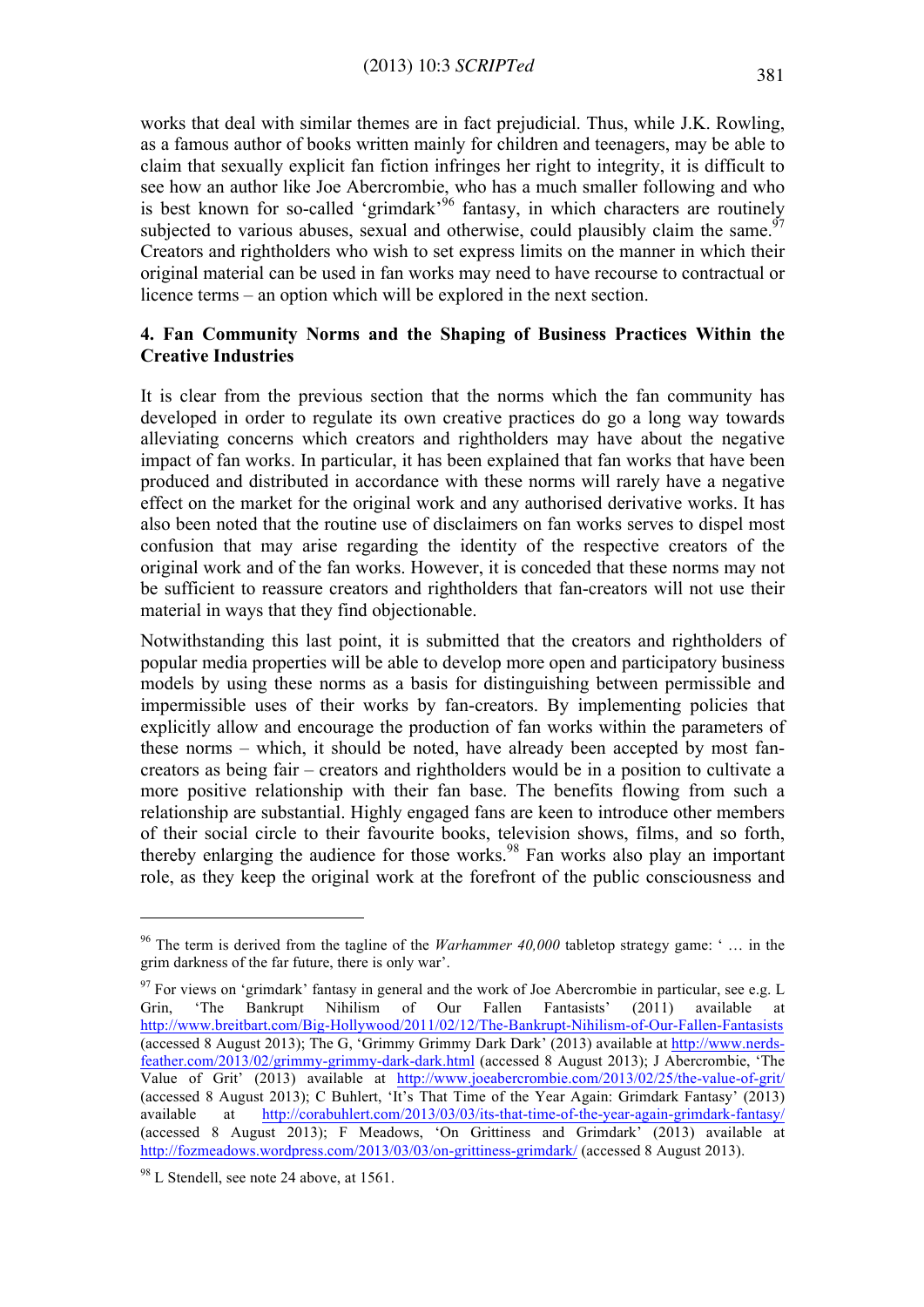works that deal with similar themes are in fact prejudicial. Thus, while J.K. Rowling, as a famous author of books written mainly for children and teenagers, may be able to claim that sexually explicit fan fiction infringes her right to integrity, it is difficult to see how an author like Joe Abercrombie, who has a much smaller following and who is best known for so-called 'grimdark'<sup>96</sup> fantasy, in which characters are routinely subjected to various abuses, sexual and otherwise, could plausibly claim the same.<sup>97</sup> Creators and rightholders who wish to set express limits on the manner in which their original material can be used in fan works may need to have recourse to contractual or licence terms – an option which will be explored in the next section.

# **4. Fan Community Norms and the Shaping of Business Practices Within the Creative Industries**

It is clear from the previous section that the norms which the fan community has developed in order to regulate its own creative practices do go a long way towards alleviating concerns which creators and rightholders may have about the negative impact of fan works. In particular, it has been explained that fan works that have been produced and distributed in accordance with these norms will rarely have a negative effect on the market for the original work and any authorised derivative works. It has also been noted that the routine use of disclaimers on fan works serves to dispel most confusion that may arise regarding the identity of the respective creators of the original work and of the fan works. However, it is conceded that these norms may not be sufficient to reassure creators and rightholders that fan-creators will not use their material in ways that they find objectionable.

Notwithstanding this last point, it is submitted that the creators and rightholders of popular media properties will be able to develop more open and participatory business models by using these norms as a basis for distinguishing between permissible and impermissible uses of their works by fan-creators. By implementing policies that explicitly allow and encourage the production of fan works within the parameters of these norms – which, it should be noted, have already been accepted by most fancreators as being fair – creators and rightholders would be in a position to cultivate a more positive relationship with their fan base. The benefits flowing from such a relationship are substantial. Highly engaged fans are keen to introduce other members of their social circle to their favourite books, television shows, films, and so forth, thereby enlarging the audience for those works.<sup>98</sup> Fan works also play an important role, as they keep the original work at the forefront of the public consciousness and

<sup>96</sup> The term is derived from the tagline of the *Warhammer 40,000* tabletop strategy game: ' … in the grim darkness of the far future, there is only war'.

 $97$  For views on 'grimdark' fantasy in general and the work of Joe Abercrombie in particular, see e.g. L Grin, 'The Bankrupt Nihilism of Our Fallen Fantasists' (2011) available at http://www.breitbart.com/Big-Hollywood/2011/02/12/The-Bankrupt-Nihilism-of-Our-Fallen-Fantasists (accessed 8 August 2013); The G, 'Grimmy Grimmy Dark Dark' (2013) available at http://www.nerdsfeather.com/2013/02/grimmy-grimmy-dark-dark.html (accessed 8 August 2013); J Abercrombie, 'The Value of Grit' (2013) available at http://www.joeabercrombie.com/2013/02/25/the-value-of-grit/ (accessed 8 August 2013); C Buhlert, 'It's That Time of the Year Again: Grimdark Fantasy' (2013) available at http://corabuhlert.com/2013/03/03/its-that-time-of-the-year-again-grimdark-fantasy/ (accessed 8 August 2013); F Meadows, 'On Grittiness and Grimdark' (2013) available at http://fozmeadows.wordpress.com/2013/03/03/on-grittiness-grimdark/ (accessed 8 August 2013).

<sup>&</sup>lt;sup>98</sup> L Stendell, see note 24 above, at 1561.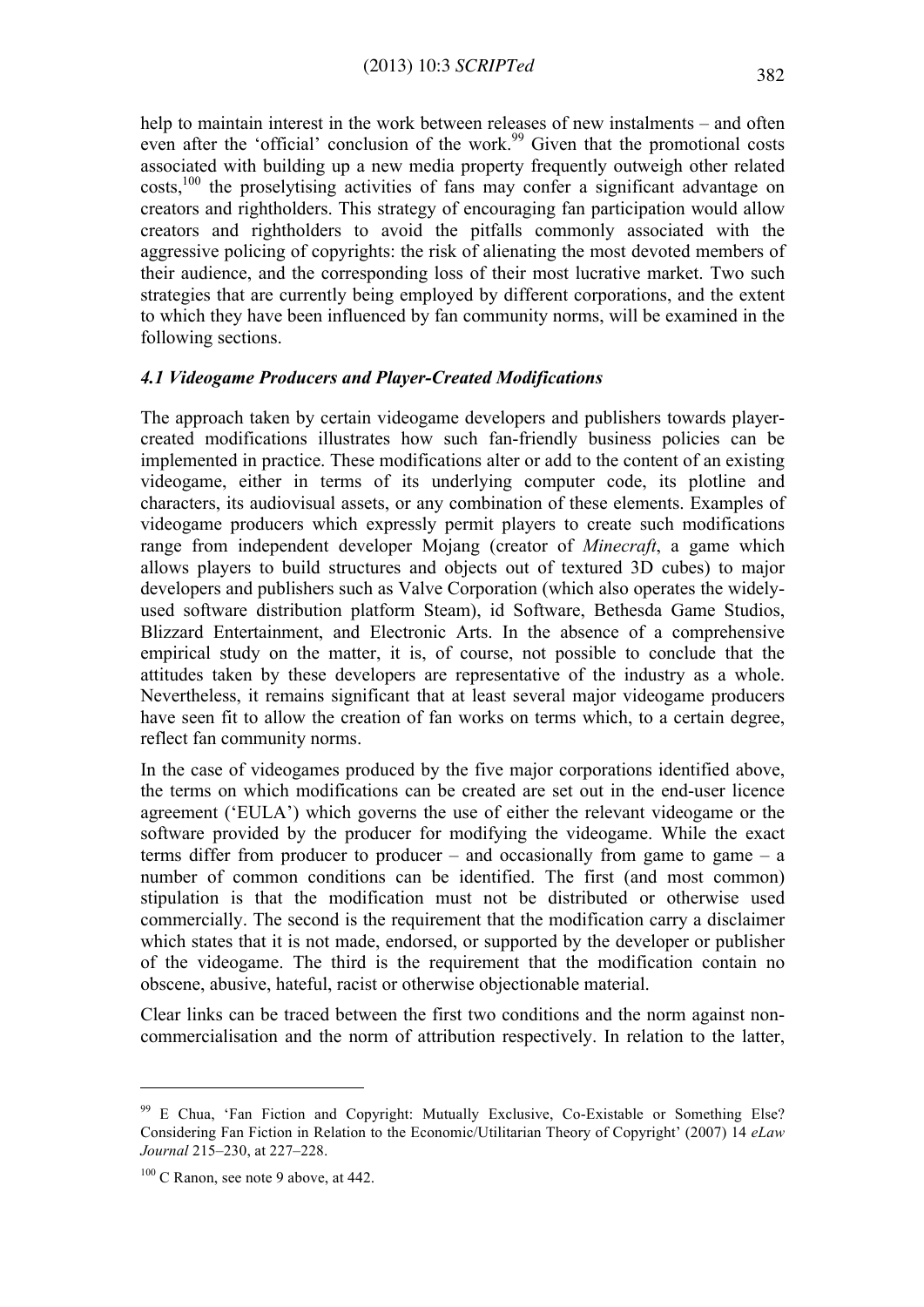help to maintain interest in the work between releases of new instalments – and often even after the 'official' conclusion of the work.<sup>99</sup> Given that the promotional costs associated with building up a new media property frequently outweigh other related costs,100 the proselytising activities of fans may confer a significant advantage on creators and rightholders. This strategy of encouraging fan participation would allow creators and rightholders to avoid the pitfalls commonly associated with the aggressive policing of copyrights: the risk of alienating the most devoted members of their audience, and the corresponding loss of their most lucrative market. Two such strategies that are currently being employed by different corporations, and the extent to which they have been influenced by fan community norms, will be examined in the following sections.

#### *4.1 Videogame Producers and Player-Created Modifications*

The approach taken by certain videogame developers and publishers towards playercreated modifications illustrates how such fan-friendly business policies can be implemented in practice. These modifications alter or add to the content of an existing videogame, either in terms of its underlying computer code, its plotline and characters, its audiovisual assets, or any combination of these elements. Examples of videogame producers which expressly permit players to create such modifications range from independent developer Mojang (creator of *Minecraft*, a game which allows players to build structures and objects out of textured 3D cubes) to major developers and publishers such as Valve Corporation (which also operates the widelyused software distribution platform Steam), id Software, Bethesda Game Studios, Blizzard Entertainment, and Electronic Arts. In the absence of a comprehensive empirical study on the matter, it is, of course, not possible to conclude that the attitudes taken by these developers are representative of the industry as a whole. Nevertheless, it remains significant that at least several major videogame producers have seen fit to allow the creation of fan works on terms which, to a certain degree, reflect fan community norms.

In the case of videogames produced by the five major corporations identified above, the terms on which modifications can be created are set out in the end-user licence agreement ('EULA') which governs the use of either the relevant videogame or the software provided by the producer for modifying the videogame. While the exact terms differ from producer to producer – and occasionally from game to game – a number of common conditions can be identified. The first (and most common) stipulation is that the modification must not be distributed or otherwise used commercially. The second is the requirement that the modification carry a disclaimer which states that it is not made, endorsed, or supported by the developer or publisher of the videogame. The third is the requirement that the modification contain no obscene, abusive, hateful, racist or otherwise objectionable material.

Clear links can be traced between the first two conditions and the norm against noncommercialisation and the norm of attribution respectively. In relation to the latter,

<sup>99</sup> E Chua, 'Fan Fiction and Copyright: Mutually Exclusive, Co-Existable or Something Else? Considering Fan Fiction in Relation to the Economic/Utilitarian Theory of Copyright' (2007) 14 *eLaw Journal* 215–230, at 227–228.

 $100$  C Ranon, see note 9 above, at 442.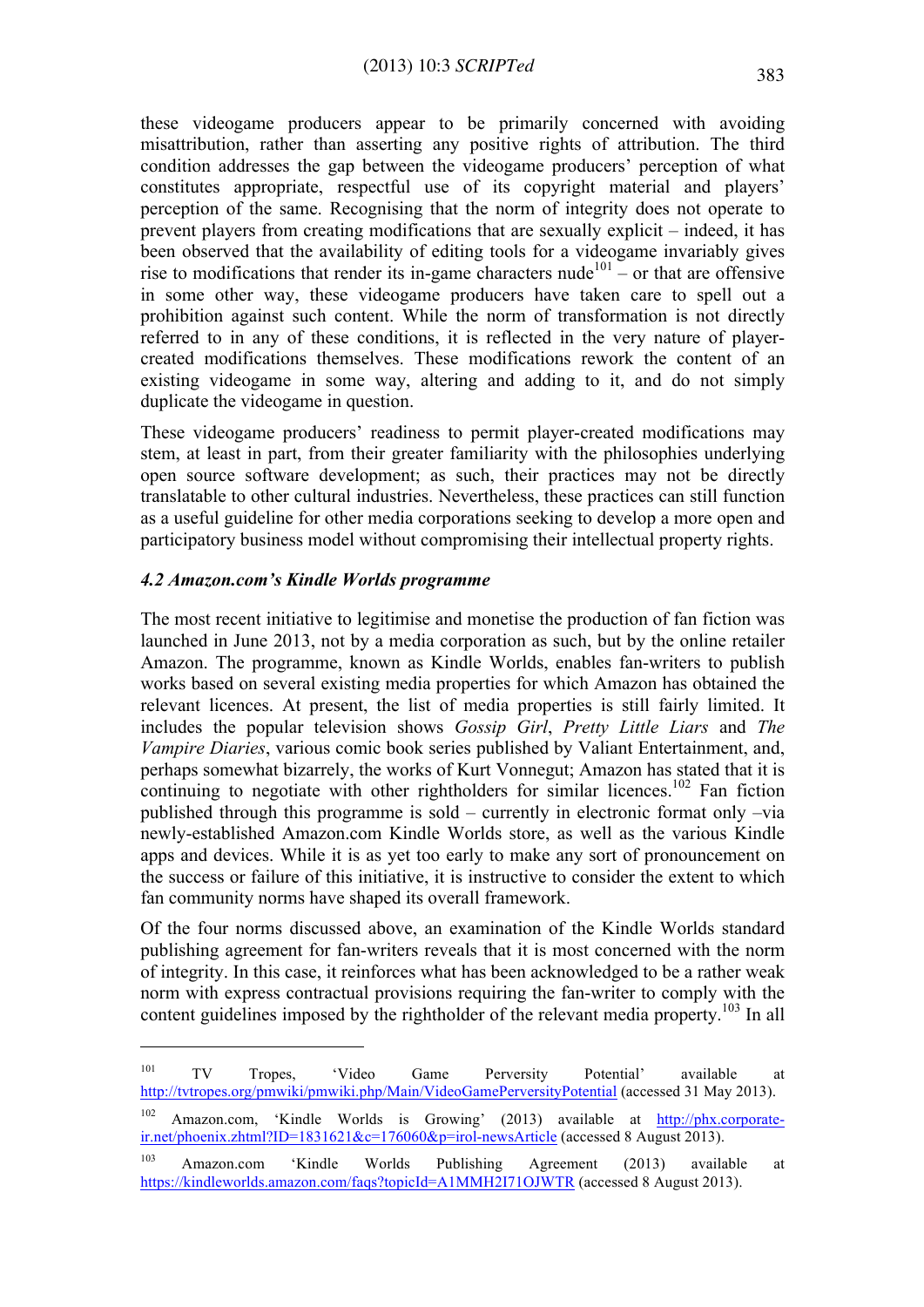these videogame producers appear to be primarily concerned with avoiding misattribution, rather than asserting any positive rights of attribution. The third condition addresses the gap between the videogame producers' perception of what constitutes appropriate, respectful use of its copyright material and players' perception of the same. Recognising that the norm of integrity does not operate to prevent players from creating modifications that are sexually explicit – indeed, it has been observed that the availability of editing tools for a videogame invariably gives rise to modifications that render its in-game characters nude<sup>101</sup> – or that are offensive in some other way, these videogame producers have taken care to spell out a prohibition against such content. While the norm of transformation is not directly referred to in any of these conditions, it is reflected in the very nature of playercreated modifications themselves. These modifications rework the content of an existing videogame in some way, altering and adding to it, and do not simply duplicate the videogame in question.

These videogame producers' readiness to permit player-created modifications may stem, at least in part, from their greater familiarity with the philosophies underlying open source software development; as such, their practices may not be directly translatable to other cultural industries. Nevertheless, these practices can still function as a useful guideline for other media corporations seeking to develop a more open and participatory business model without compromising their intellectual property rights.

### *4.2 Amazon.com's Kindle Worlds programme*

 $\overline{a}$ 

The most recent initiative to legitimise and monetise the production of fan fiction was launched in June 2013, not by a media corporation as such, but by the online retailer Amazon. The programme, known as Kindle Worlds, enables fan-writers to publish works based on several existing media properties for which Amazon has obtained the relevant licences. At present, the list of media properties is still fairly limited. It includes the popular television shows *Gossip Girl*, *Pretty Little Liars* and *The Vampire Diaries*, various comic book series published by Valiant Entertainment, and, perhaps somewhat bizarrely, the works of Kurt Vonnegut; Amazon has stated that it is continuing to negotiate with other rightholders for similar licences.<sup>102</sup> Fan fiction published through this programme is sold – currently in electronic format only –via newly-established Amazon.com Kindle Worlds store, as well as the various Kindle apps and devices. While it is as yet too early to make any sort of pronouncement on the success or failure of this initiative, it is instructive to consider the extent to which fan community norms have shaped its overall framework.

Of the four norms discussed above, an examination of the Kindle Worlds standard publishing agreement for fan-writers reveals that it is most concerned with the norm of integrity. In this case, it reinforces what has been acknowledged to be a rather weak norm with express contractual provisions requiring the fan-writer to comply with the content guidelines imposed by the rightholder of the relevant media property.<sup>103</sup> In all

<sup>&</sup>lt;sup>101</sup> TV Tropes, 'Video Game Perversity Potential' available at http://tvtropes.org/pmwiki/pmwiki.php/Main/VideoGamePerversityPotential (accessed 31 May 2013).

Amazon.com, 'Kindle Worlds is Growing' (2013) available at http://phx.corporateir.net/phoenix.zhtml?ID=1831621&c=176060&p=irol-newsArticle (accessed 8 August 2013).

<sup>103</sup> Amazon.com 'Kindle Worlds Publishing Agreement (2013) available at https://kindleworlds.amazon.com/faqs?topicId=A1MMH2I71OJWTR (accessed 8 August 2013).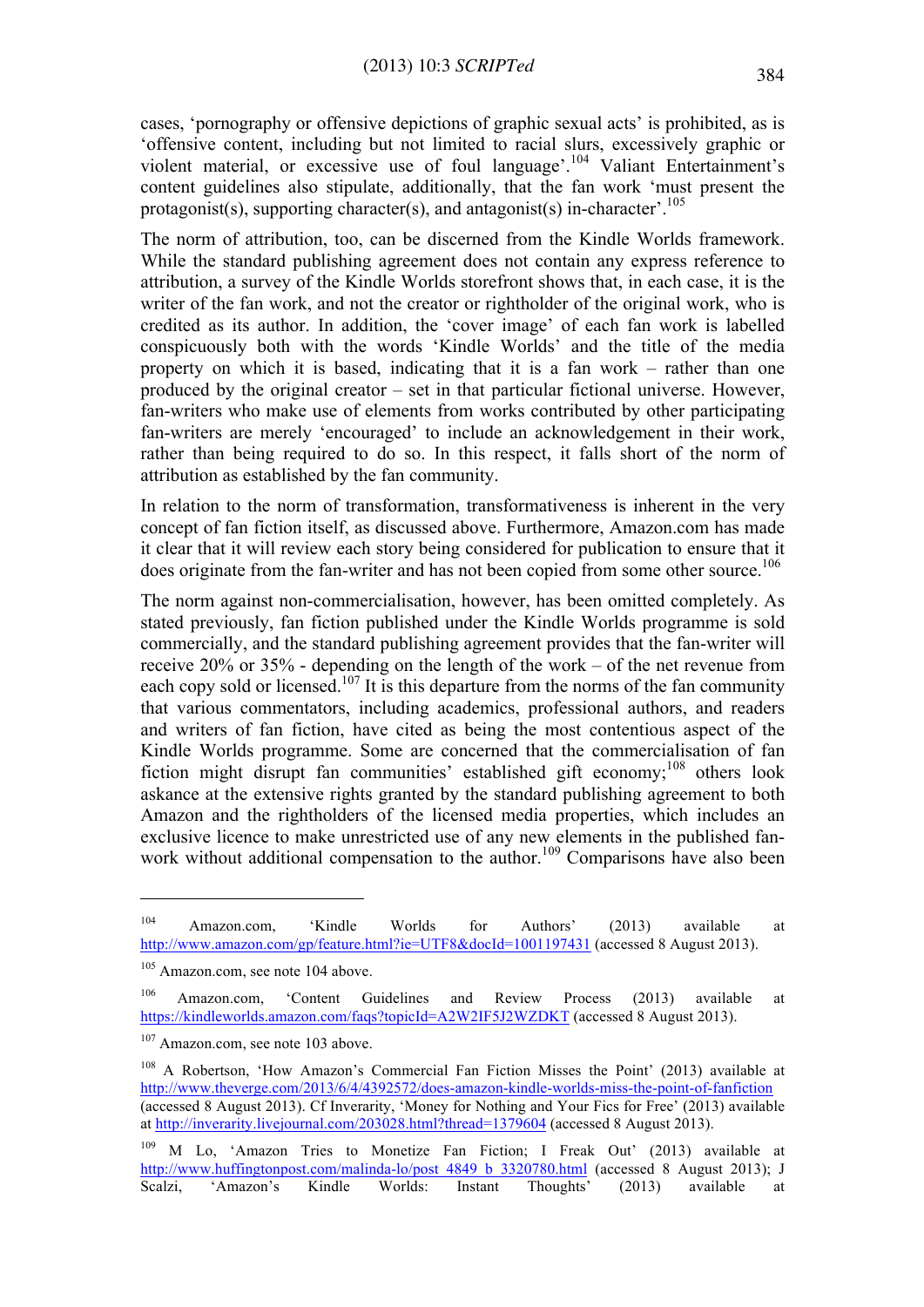cases, 'pornography or offensive depictions of graphic sexual acts' is prohibited, as is 'offensive content, including but not limited to racial slurs, excessively graphic or violent material, or excessive use of foul language'.<sup>104</sup> Valiant Entertainment's content guidelines also stipulate, additionally, that the fan work 'must present the protagonist(s), supporting character(s), and antagonist(s) in-character'.<sup>105</sup>

The norm of attribution, too, can be discerned from the Kindle Worlds framework. While the standard publishing agreement does not contain any express reference to attribution, a survey of the Kindle Worlds storefront shows that, in each case, it is the writer of the fan work, and not the creator or rightholder of the original work, who is credited as its author. In addition, the 'cover image' of each fan work is labelled conspicuously both with the words 'Kindle Worlds' and the title of the media property on which it is based, indicating that it is a fan work – rather than one produced by the original creator – set in that particular fictional universe. However, fan-writers who make use of elements from works contributed by other participating fan-writers are merely 'encouraged' to include an acknowledgement in their work, rather than being required to do so. In this respect, it falls short of the norm of attribution as established by the fan community.

In relation to the norm of transformation, transformativeness is inherent in the very concept of fan fiction itself, as discussed above. Furthermore, Amazon.com has made it clear that it will review each story being considered for publication to ensure that it does originate from the fan-writer and has not been copied from some other source.<sup>106</sup>

The norm against non-commercialisation, however, has been omitted completely. As stated previously, fan fiction published under the Kindle Worlds programme is sold commercially, and the standard publishing agreement provides that the fan-writer will receive 20% or 35% - depending on the length of the work – of the net revenue from each copy sold or licensed.<sup>107</sup> It is this departure from the norms of the fan community that various commentators, including academics, professional authors, and readers and writers of fan fiction, have cited as being the most contentious aspect of the Kindle Worlds programme. Some are concerned that the commercialisation of fan fiction might disrupt fan communities' established gift economy;<sup>108</sup> others look askance at the extensive rights granted by the standard publishing agreement to both Amazon and the rightholders of the licensed media properties, which includes an exclusive licence to make unrestricted use of any new elements in the published fanwork without additional compensation to the author.<sup>109</sup> Comparisons have also been

<sup>&</sup>lt;sup>104</sup> Amazon.com, 'Kindle Worlds for Authors' (2013) available at http://www.amazon.com/gp/feature.html?ie=UTF8&docId=1001197431 (accessed 8 August 2013).

<sup>&</sup>lt;sup>105</sup> Amazon.com, see note 104 above.

<sup>106</sup> Amazon.com, 'Content Guidelines and Review Process (2013) available at https://kindleworlds.amazon.com/faqs?topicId=A2W2IF5J2WZDKT (accessed 8 August 2013).

<sup>&</sup>lt;sup>107</sup> Amazon.com, see note 103 above.

<sup>&</sup>lt;sup>108</sup> A Robertson, 'How Amazon's Commercial Fan Fiction Misses the Point' (2013) available at http://www.theverge.com/2013/6/4/4392572/does-amazon-kindle-worlds-miss-the-point-of-fanfiction (accessed 8 August 2013). Cf Inverarity, 'Money for Nothing and Your Fics for Free' (2013) available at http://inverarity.livejournal.com/203028.html?thread=1379604 (accessed 8 August 2013).

<sup>109</sup> M Lo, 'Amazon Tries to Monetize Fan Fiction; I Freak Out' (2013) available at http://www.huffingtonpost.com/malinda-lo/post\_4849\_b\_3320780.html (accessed 8 August 2013); J<br>Scalzi, 'Amazon's Kindle Worlds: Instant Thoughts' (2013) available at Scalzi, 'Amazon's Kindle Worlds: Instant Thoughts' (2013) available at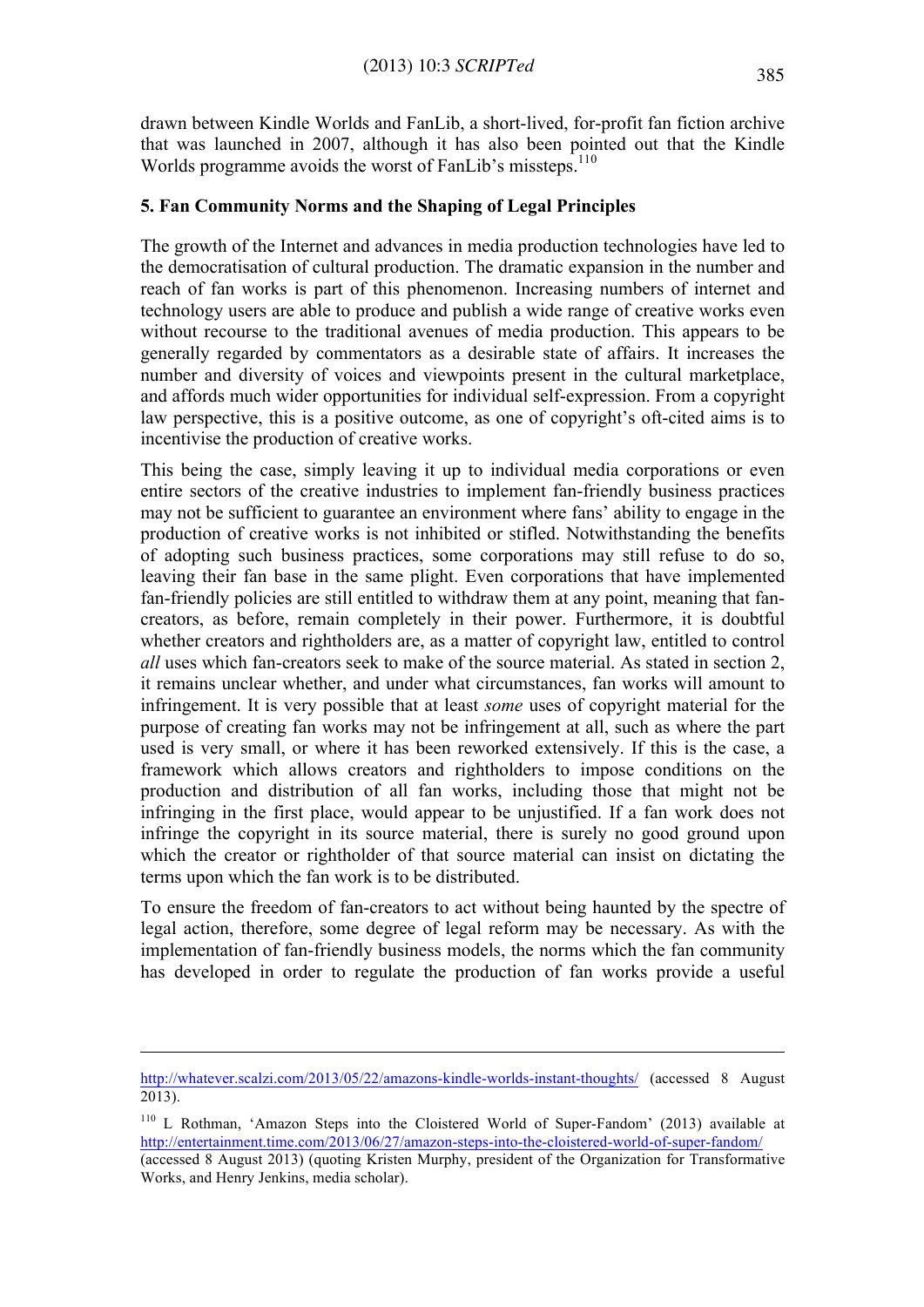drawn between Kindle Worlds and FanLib, a short-lived, for-profit fan fiction archive that was launched in 2007, although it has also been pointed out that the Kindle Worlds programme avoids the worst of FanLib's missteps.<sup>110</sup>

# **5. Fan Community Norms and the Shaping of Legal Principles**

The growth of the Internet and advances in media production technologies have led to the democratisation of cultural production. The dramatic expansion in the number and reach of fan works is part of this phenomenon. Increasing numbers of internet and technology users are able to produce and publish a wide range of creative works even without recourse to the traditional avenues of media production. This appears to be generally regarded by commentators as a desirable state of affairs. It increases the number and diversity of voices and viewpoints present in the cultural marketplace, and affords much wider opportunities for individual self-expression. From a copyright law perspective, this is a positive outcome, as one of copyright's oft-cited aims is to incentivise the production of creative works.

This being the case, simply leaving it up to individual media corporations or even entire sectors of the creative industries to implement fan-friendly business practices may not be sufficient to guarantee an environment where fans' ability to engage in the production of creative works is not inhibited or stifled. Notwithstanding the benefits of adopting such business practices, some corporations may still refuse to do so, leaving their fan base in the same plight. Even corporations that have implemented fan-friendly policies are still entitled to withdraw them at any point, meaning that fancreators, as before, remain completely in their power. Furthermore, it is doubtful whether creators and rightholders are, as a matter of copyright law, entitled to control *all* uses which fan-creators seek to make of the source material. As stated in section 2, it remains unclear whether, and under what circumstances, fan works will amount to infringement. It is very possible that at least *some* uses of copyright material for the purpose of creating fan works may not be infringement at all, such as where the part used is very small, or where it has been reworked extensively. If this is the case, a framework which allows creators and rightholders to impose conditions on the production and distribution of all fan works, including those that might not be infringing in the first place, would appear to be unjustified. If a fan work does not infringe the copyright in its source material, there is surely no good ground upon which the creator or rightholder of that source material can insist on dictating the terms upon which the fan work is to be distributed.

To ensure the freedom of fan-creators to act without being haunted by the spectre of legal action, therefore, some degree of legal reform may be necessary. As with the implementation of fan-friendly business models, the norms which the fan community has developed in order to regulate the production of fan works provide a useful

http://whatever.scalzi.com/2013/05/22/amazons-kindle-worlds-instant-thoughts/ (accessed 8 August 2013).

<sup>110</sup> L Rothman, 'Amazon Steps into the Cloistered World of Super-Fandom' (2013) available at http://entertainment.time.com/2013/06/27/amazon-steps-into-the-cloistered-world-of-super-fandom/ (accessed 8 August 2013) (quoting Kristen Murphy, president of the Organization for Transformative

Works, and Henry Jenkins, media scholar).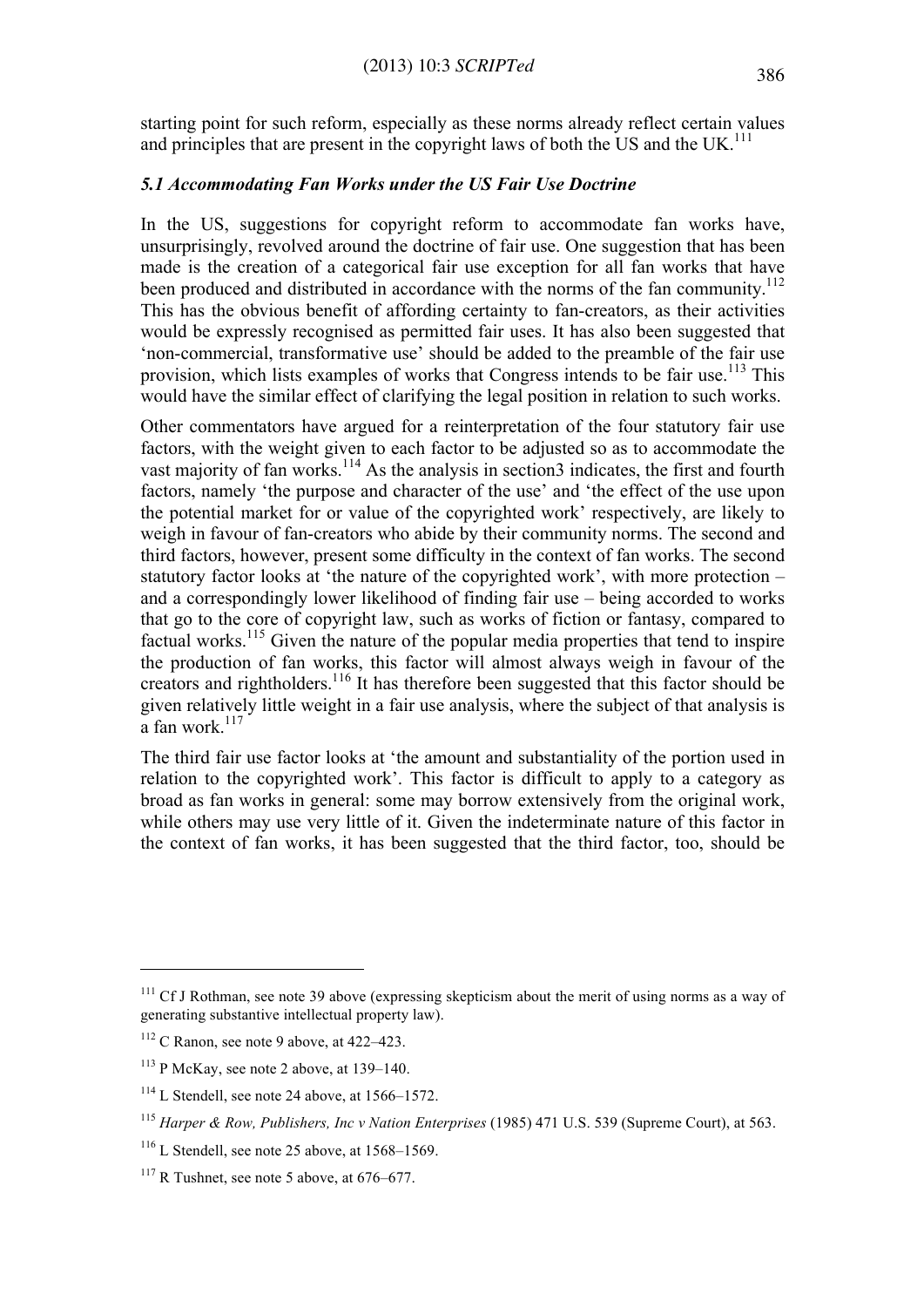starting point for such reform, especially as these norms already reflect certain values and principles that are present in the copyright laws of both the US and the UK.<sup>111</sup>

#### *5.1 Accommodating Fan Works under the US Fair Use Doctrine*

In the US, suggestions for copyright reform to accommodate fan works have, unsurprisingly, revolved around the doctrine of fair use. One suggestion that has been made is the creation of a categorical fair use exception for all fan works that have been produced and distributed in accordance with the norms of the fan community.<sup>112</sup> This has the obvious benefit of affording certainty to fan-creators, as their activities would be expressly recognised as permitted fair uses. It has also been suggested that 'non-commercial, transformative use' should be added to the preamble of the fair use provision, which lists examples of works that Congress intends to be fair use.<sup>113</sup> This would have the similar effect of clarifying the legal position in relation to such works.

Other commentators have argued for a reinterpretation of the four statutory fair use factors, with the weight given to each factor to be adjusted so as to accommodate the vast majority of fan works.<sup>114</sup> As the analysis in section3 indicates, the first and fourth factors, namely 'the purpose and character of the use' and 'the effect of the use upon the potential market for or value of the copyrighted work' respectively, are likely to weigh in favour of fan-creators who abide by their community norms. The second and third factors, however, present some difficulty in the context of fan works. The second statutory factor looks at 'the nature of the copyrighted work', with more protection – and a correspondingly lower likelihood of finding fair use – being accorded to works that go to the core of copyright law, such as works of fiction or fantasy, compared to factual works.<sup>115</sup> Given the nature of the popular media properties that tend to inspire the production of fan works, this factor will almost always weigh in favour of the creators and rightholders.<sup>116</sup> It has therefore been suggested that this factor should be given relatively little weight in a fair use analysis, where the subject of that analysis is  $a$  fan work $117$ 

The third fair use factor looks at 'the amount and substantiality of the portion used in relation to the copyrighted work'. This factor is difficult to apply to a category as broad as fan works in general: some may borrow extensively from the original work, while others may use very little of it. Given the indeterminate nature of this factor in the context of fan works, it has been suggested that the third factor, too, should be

 $111$  Cf J Rothman, see note 39 above (expressing skepticism about the merit of using norms as a way of generating substantive intellectual property law).

 $112$  C Ranon, see note 9 above, at 422–423.

 $113$  P McKay, see note 2 above, at 139–140.

<sup>&</sup>lt;sup>114</sup> L Stendell, see note 24 above, at 1566–1572.

<sup>115</sup> *Harper & Row, Publishers, Inc v Nation Enterprises* (1985) 471 U.S. 539 (Supreme Court), at 563.

 $116$  L Stendell, see note 25 above, at  $1568-1569$ .

 $117$  R Tushnet, see note 5 above, at 676–677.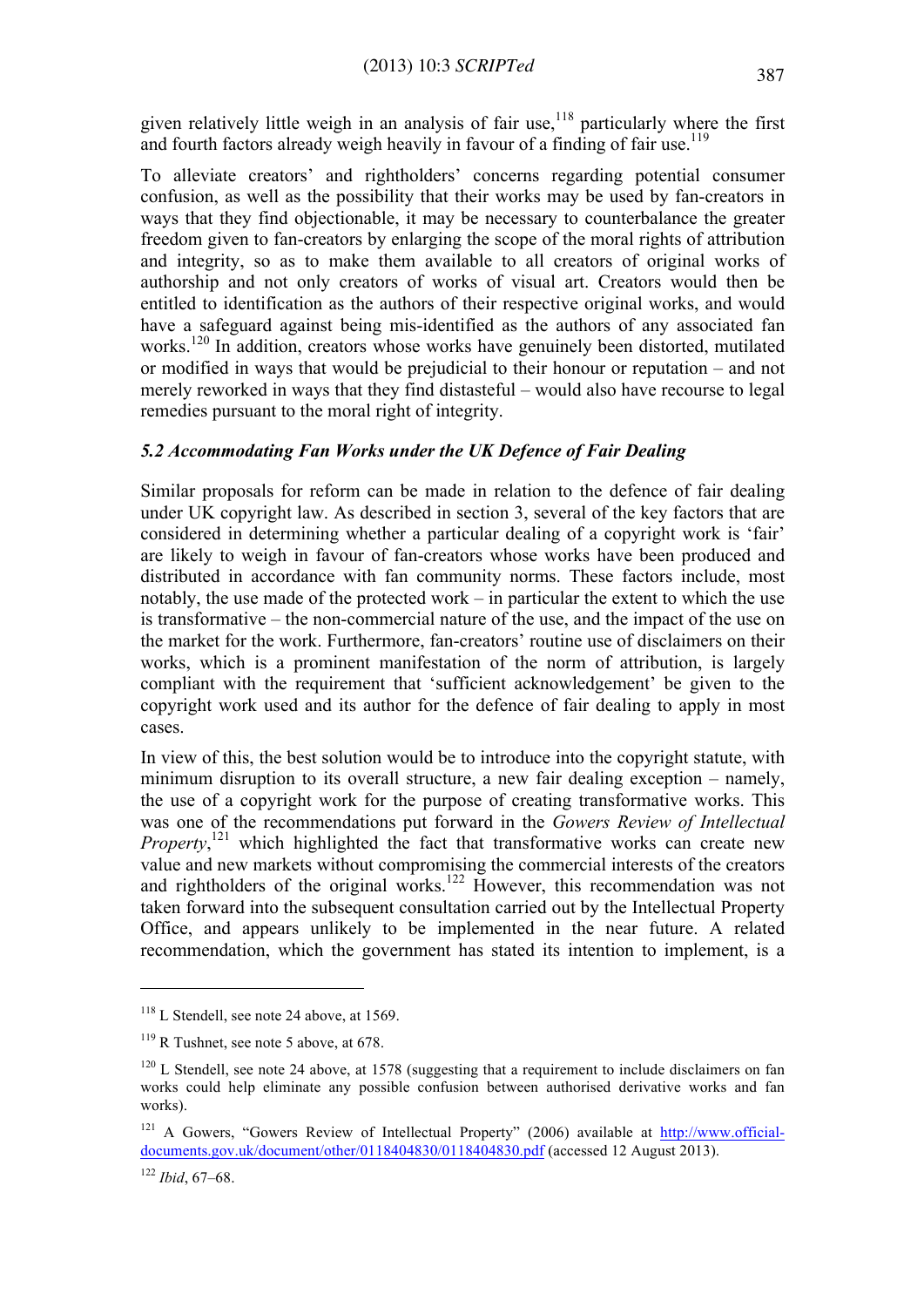given relatively little weigh in an analysis of fair use,<sup>118</sup> particularly where the first and fourth factors already weigh heavily in favour of a finding of fair use.<sup>119</sup>

To alleviate creators' and rightholders' concerns regarding potential consumer confusion, as well as the possibility that their works may be used by fan-creators in ways that they find objectionable, it may be necessary to counterbalance the greater freedom given to fan-creators by enlarging the scope of the moral rights of attribution and integrity, so as to make them available to all creators of original works of authorship and not only creators of works of visual art. Creators would then be entitled to identification as the authors of their respective original works, and would have a safeguard against being mis-identified as the authors of any associated fan works.<sup>120</sup> In addition, creators whose works have genuinely been distorted, mutilated or modified in ways that would be prejudicial to their honour or reputation – and not merely reworked in ways that they find distasteful – would also have recourse to legal remedies pursuant to the moral right of integrity.

# *5.2 Accommodating Fan Works under the UK Defence of Fair Dealing*

Similar proposals for reform can be made in relation to the defence of fair dealing under UK copyright law. As described in section 3, several of the key factors that are considered in determining whether a particular dealing of a copyright work is 'fair' are likely to weigh in favour of fan-creators whose works have been produced and distributed in accordance with fan community norms. These factors include, most notably, the use made of the protected work – in particular the extent to which the use is transformative – the non-commercial nature of the use, and the impact of the use on the market for the work. Furthermore, fan-creators' routine use of disclaimers on their works, which is a prominent manifestation of the norm of attribution, is largely compliant with the requirement that 'sufficient acknowledgement' be given to the copyright work used and its author for the defence of fair dealing to apply in most cases.

In view of this, the best solution would be to introduce into the copyright statute, with minimum disruption to its overall structure, a new fair dealing exception – namely, the use of a copyright work for the purpose of creating transformative works. This was one of the recommendations put forward in the *Gowers Review of Intellectual*  Property,<sup>121</sup> which highlighted the fact that transformative works can create new value and new markets without compromising the commercial interests of the creators and rightholders of the original works.<sup>122</sup> However, this recommendation was not taken forward into the subsequent consultation carried out by the Intellectual Property Office, and appears unlikely to be implemented in the near future. A related recommendation, which the government has stated its intention to implement, is a

 $118$  L Stendell, see note 24 above, at 1569.

 $119$  R Tushnet, see note 5 above, at 678.

 $120$  L Stendell, see note 24 above, at 1578 (suggesting that a requirement to include disclaimers on fan works could help eliminate any possible confusion between authorised derivative works and fan works).

<sup>&</sup>lt;sup>121</sup> A Gowers, "Gowers Review of Intellectual Property" (2006) available at http://www.officialdocuments.gov.uk/document/other/0118404830/0118404830.pdf (accessed 12 August 2013).

<sup>122</sup> *Ibid*, 67–68.